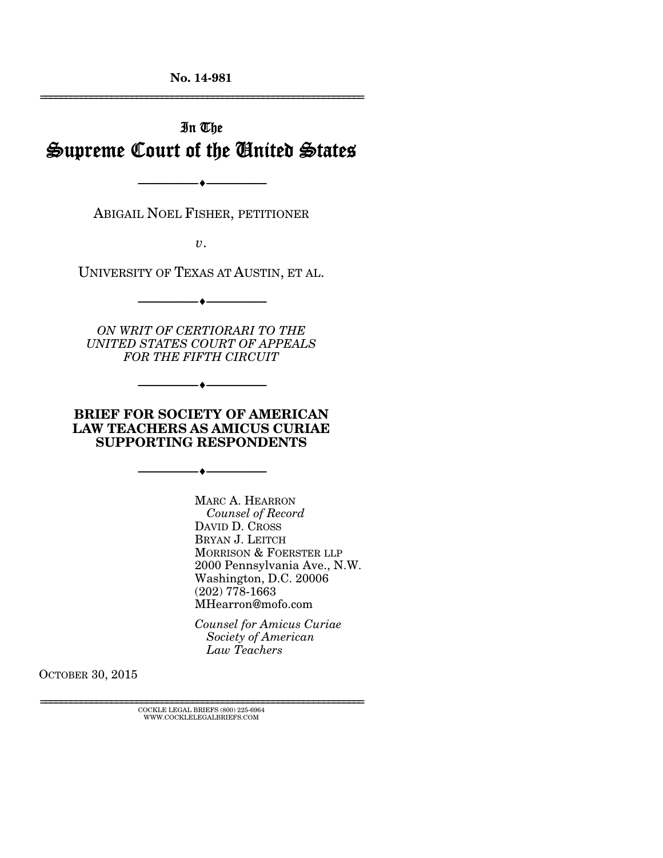**No. 14-981** 

================================================================

# In The Supreme Court of the United States

ABIGAIL NOEL FISHER, PETITIONER

--------------------------------- ---------------------------------

*v*.

UNIVERSITY OF TEXAS AT AUSTIN, ET AL.

--------------------------------- ---------------------------------

*ON WRIT OF CERTIORARI TO THE UNITED STATES COURT OF APPEALS FOR THE FIFTH CIRCUIT* 

--------------------------------- ---------------------------------

#### **BRIEF FOR SOCIETY OF AMERICAN LAW TEACHERS AS AMICUS CURIAE SUPPORTING RESPONDENTS**

--------------------------------- ---------------------------------

 MARC A. HEARRON *Counsel of Record* DAVID D. CROSS BRYAN J. LEITCH MORRISON & FOERSTER LLP 2000 Pennsylvania Ave., N.W. Washington, D.C. 20006 (202) 778-1663 MHearron@mofo.com

*Counsel for Amicus Curiae Society of American Law Teachers*

OCTOBER 30, 2015

 $\overline{\text{COCKLE} }$ LEGAL BRIEFS (800) 225-6964 WWW.COCKLELEGALBRIEFS.COM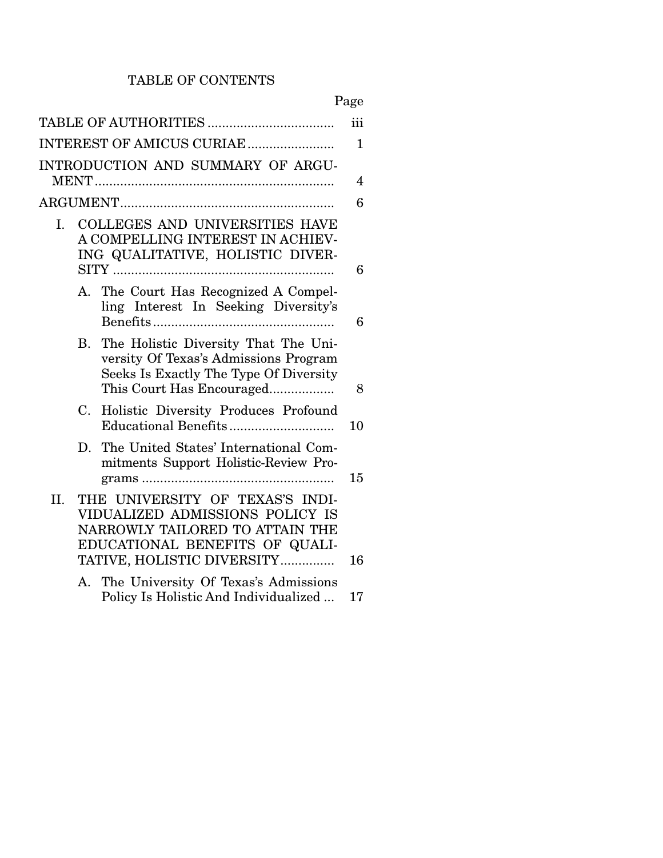# TABLE OF CONTENTS

|                |    |                                                                                                                                                         | iii |
|----------------|----|---------------------------------------------------------------------------------------------------------------------------------------------------------|-----|
|                |    | INTEREST OF AMICUS CURIAE                                                                                                                               | 1   |
|                |    | INTRODUCTION AND SUMMARY OF ARGU-                                                                                                                       | 4   |
|                |    |                                                                                                                                                         | 6   |
| $\mathbf{I}$ . |    | <b>COLLEGES AND UNIVERSITIES HAVE</b><br>A COMPELLING INTEREST IN ACHIEV-<br>ING QUALITATIVE, HOLISTIC DIVER-                                           |     |
|                |    |                                                                                                                                                         | 6   |
|                |    | A. The Court Has Recognized A Compel-<br>ling Interest In Seeking Diversity's                                                                           | 6   |
|                |    | B. The Holistic Diversity That The Uni-<br>versity Of Texas's Admissions Program<br>Seeks Is Exactly The Type Of Diversity<br>This Court Has Encouraged | 8   |
|                | C. | Holistic Diversity Produces Profound                                                                                                                    | 10  |
|                |    | D. The United States' International Com-<br>mitments Support Holistic-Review Pro-                                                                       | 15  |
| II.            |    | THE UNIVERSITY OF TEXAS'S INDI-<br>VIDUALIZED ADMISSIONS POLICY IS<br>NARROWLY TAILORED TO ATTAIN THE<br>EDUCATIONAL BENEFITS OF QUALI-                 |     |
|                |    | TATIVE, HOLISTIC DIVERSITY                                                                                                                              | 16  |
|                |    | A. The University Of Texas's Admissions<br>Policy Is Holistic And Individualized                                                                        | 17  |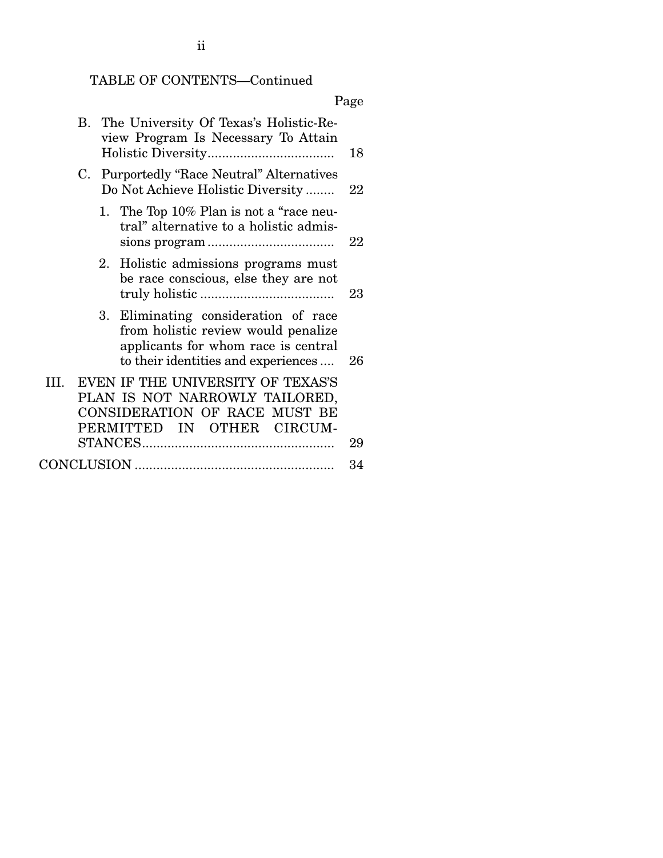TABLE OF CONTENTS—Continued

|                                                                                                                                                           | Page |
|-----------------------------------------------------------------------------------------------------------------------------------------------------------|------|
| B. The University Of Texas's Holistic-Re-<br>view Program Is Necessary To Attain                                                                          | 18   |
| <b>Purportedly "Race Neutral" Alternatives</b><br>C.<br>Do Not Achieve Holistic Diversity                                                                 | 22   |
| 1. The Top 10% Plan is not a "race neu-<br>tral" alternative to a holistic admis-                                                                         | 22   |
| 2. Holistic admissions programs must<br>be race conscious, else they are not                                                                              | 23   |
| 3. Eliminating consideration of race<br>from holistic review would penalize<br>applicants for whom race is central<br>to their identities and experiences | 26   |
| EVEN IF THE UNIVERSITY OF TEXAS'S<br>III.<br>PLAN IS NOT NARROWLY TAILORED,<br>CONSIDERATION OF RACE MUST BE<br>PERMITTED IN OTHER CIRCUM-                | 29   |
|                                                                                                                                                           | 34   |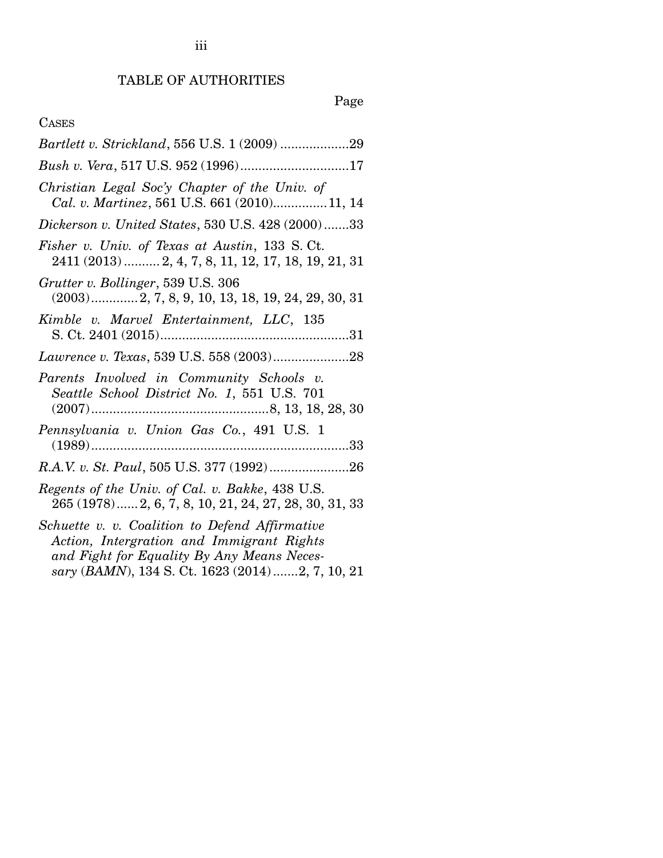# Page

# CASES

| Bush v. Vera, 517 U.S. 952 (1996)17                                                                                                                                                           |
|-----------------------------------------------------------------------------------------------------------------------------------------------------------------------------------------------|
| Christian Legal Soc'y Chapter of the Univ. of<br>Cal. v. Martinez, 561 U.S. 661 (2010)11, 14                                                                                                  |
| Dickerson v. United States, 530 U.S. 428 (2000)33                                                                                                                                             |
| Fisher v. Univ. of Texas at Austin, 133 S. Ct.<br>2411 (2013)  2, 4, 7, 8, 11, 12, 17, 18, 19, 21, 31                                                                                         |
| Grutter v. Bollinger, 539 U.S. 306<br>$(2003)$ 2, 7, 8, 9, 10, 13, 18, 19, 24, 29, 30, 31                                                                                                     |
| Kimble v. Marvel Entertainment, LLC, 135                                                                                                                                                      |
|                                                                                                                                                                                               |
| Parents Involved in Community Schools v.<br>Seattle School District No. 1, 551 U.S. 701                                                                                                       |
| Pennsylvania v. Union Gas Co., 491 U.S. 1                                                                                                                                                     |
|                                                                                                                                                                                               |
| Regents of the Univ. of Cal. v. Bakke, 438 U.S.<br>265 (1978) 2, 6, 7, 8, 10, 21, 24, 27, 28, 30, 31, 33                                                                                      |
| Schuette v. v. Coalition to Defend Affirmative<br>Action, Intergration and Immigrant Rights<br>and Fight for Equality By Any Means Neces-<br>sary (BAMN), 134 S. Ct. 1623 (2014) 2, 7, 10, 21 |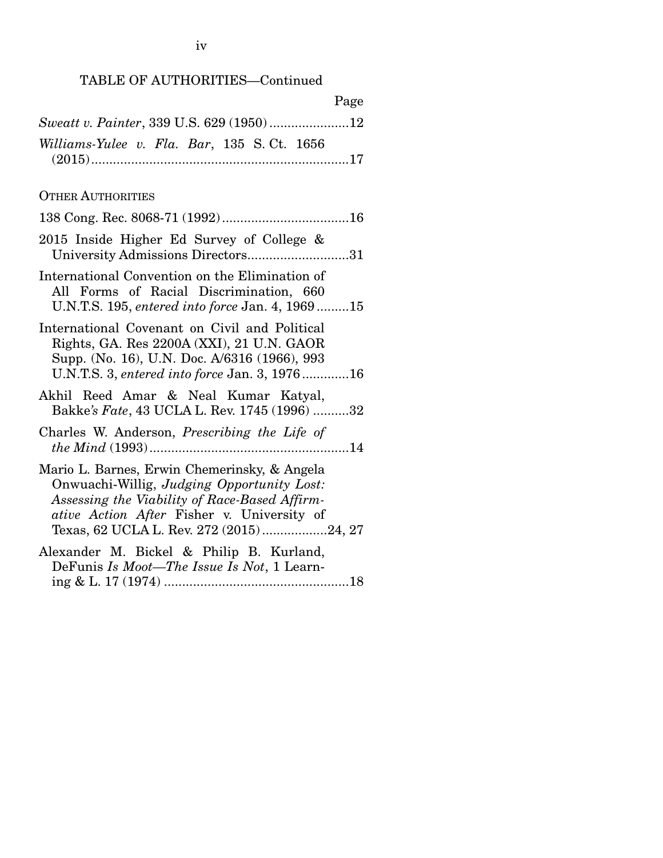# TABLE OF AUTHORITIES—Continued

| Page                                                                                                                                                                                                                                 |
|--------------------------------------------------------------------------------------------------------------------------------------------------------------------------------------------------------------------------------------|
| Sweatt v. Painter, 339 U.S. 629 (1950)12                                                                                                                                                                                             |
| Williams-Yulee v. Fla. Bar, 135 S.Ct. 1656                                                                                                                                                                                           |
| <b>OTHER AUTHORITIES</b>                                                                                                                                                                                                             |
|                                                                                                                                                                                                                                      |
| 2015 Inside Higher Ed Survey of College &<br>University Admissions Directors31                                                                                                                                                       |
| International Convention on the Elimination of<br>All Forms of Racial Discrimination, 660<br>U.N.T.S. 195, entered into force Jan. 4, 196915                                                                                         |
| International Covenant on Civil and Political<br>Rights, GA. Res 2200A (XXI), 21 U.N. GAOR<br>Supp. (No. 16), U.N. Doc. A/6316 (1966), 993<br>U.N.T.S. 3, entered into force Jan. 3, 197616                                          |
| Akhil Reed Amar & Neal Kumar Katyal,<br>Bakke's Fate, 43 UCLA L. Rev. 1745 (1996) 32                                                                                                                                                 |
| Charles W. Anderson, <i>Prescribing the Life of</i>                                                                                                                                                                                  |
| Mario L. Barnes, Erwin Chemerinsky, & Angela<br>Onwuachi-Willig, Judging Opportunity Lost:<br>Assessing the Viability of Race-Based Affirm-<br>ative Action After Fisher v. University of<br>Texas, 62 UCLA L. Rev. 272 (2015)24, 27 |
| Alexander M. Bickel & Philip B. Kurland,<br>DeFunis Is Moot—The Issue Is Not, 1 Learn-                                                                                                                                               |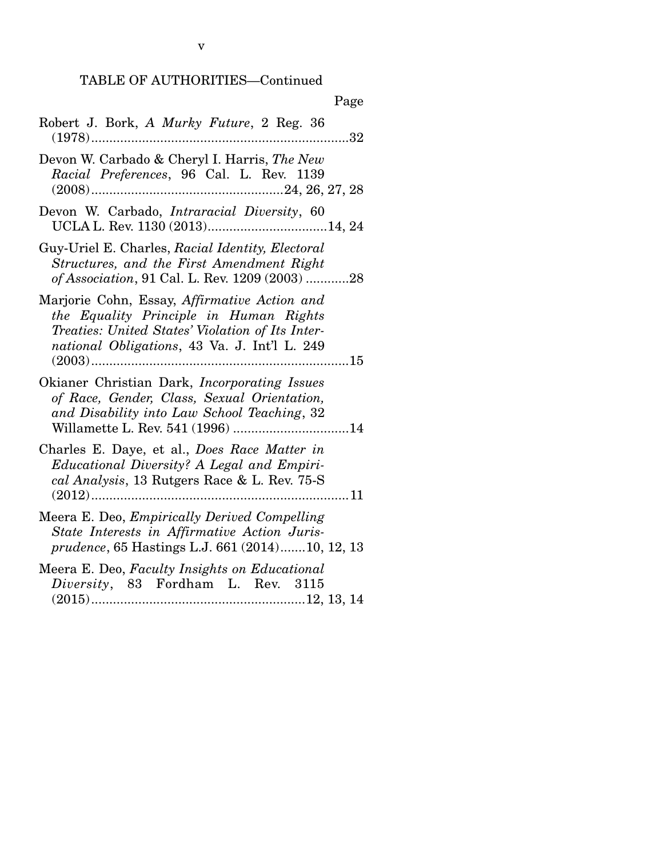# TABLE OF AUTHORITIES—Continued

| Page                                                                                                                                                                                       |
|--------------------------------------------------------------------------------------------------------------------------------------------------------------------------------------------|
| Robert J. Bork, A Murky Future, 2 Reg. 36<br>32                                                                                                                                            |
| Devon W. Carbado & Cheryl I. Harris, The New<br>Racial Preferences, 96 Cal. L. Rev. 1139                                                                                                   |
| Devon W. Carbado, Intraracial Diversity, 60<br>UCLA L. Rev. 1130 (2013)14, 24                                                                                                              |
| Guy-Uriel E. Charles, Racial Identity, Electoral<br>Structures, and the First Amendment Right<br>of Association, 91 Cal. L. Rev. 1209 (2003) 28                                            |
| Marjorie Cohn, Essay, Affirmative Action and<br>the Equality Principle in Human Rights<br>Treaties: United States' Violation of Its Inter-<br>national Obligations, 43 Va. J. Int'l L. 249 |
| Okianer Christian Dark, Incorporating Issues<br>of Race, Gender, Class, Sexual Orientation,<br>and Disability into Law School Teaching, 32                                                 |
| Charles E. Daye, et al., Does Race Matter in<br>Educational Diversity? A Legal and Empiri-<br>cal Analysis, 13 Rutgers Race & L. Rev. 75-S                                                 |
| Meera E. Deo, <i>Empirically Derived Compelling</i><br>State Interests in Affirmative Action Juris-<br>prudence, 65 Hastings L.J. 661 (2014)10, 12, 13                                     |
| Meera E. Deo, Faculty Insights on Educational<br>Diversity, 83 Fordham L. Rev. 3115                                                                                                        |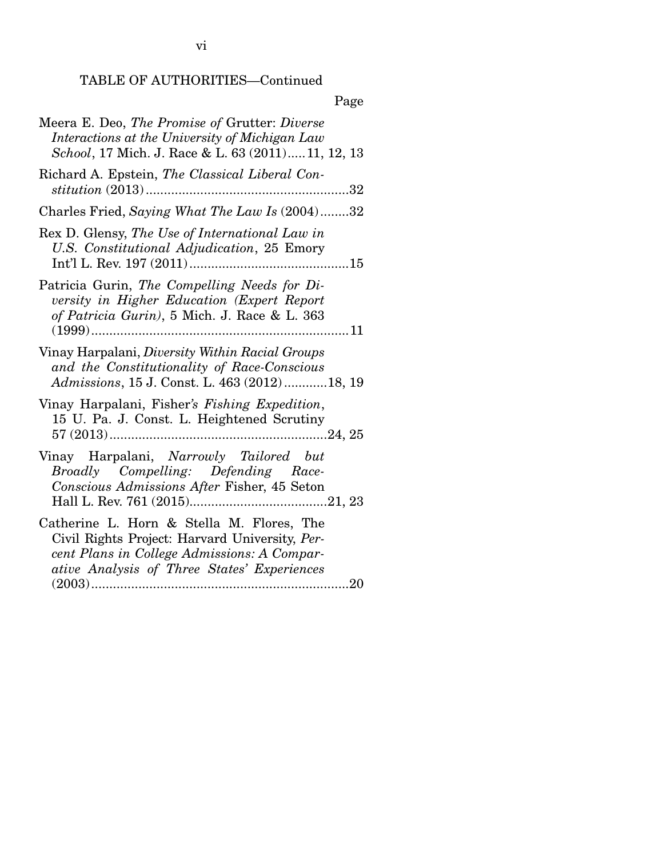vi

TABLE OF AUTHORITIES—Continued

# Page

| Meera E. Deo, The Promise of Grutter: Diverse<br>Interactions at the University of Michigan Law<br>School, 17 Mich. J. Race & L. 63 (2011)11, 12, 13                                      |
|-------------------------------------------------------------------------------------------------------------------------------------------------------------------------------------------|
| Richard A. Epstein, The Classical Liberal Con-                                                                                                                                            |
| Charles Fried, Saying What The Law Is (2004)32                                                                                                                                            |
| Rex D. Glensy, The Use of International Law in<br>U.S. Constitutional Adjudication, 25 Emory                                                                                              |
| Patricia Gurin, The Compelling Needs for Di-<br>versity in Higher Education (Expert Report<br>of Patricia Gurin), 5 Mich. J. Race & L. 363                                                |
| Vinay Harpalani, Diversity Within Racial Groups<br>and the Constitutionality of Race-Conscious<br>Admissions, 15 J. Const. L. 463 (2012)18, 19                                            |
| Vinay Harpalani, Fisher's Fishing Expedition,<br>15 U. Pa. J. Const. L. Heightened Scrutiny                                                                                               |
| Vinay Harpalani, Narrowly Tailored but<br>Broadly Compelling: Defending Race-<br>Conscious Admissions After Fisher, 45 Seton                                                              |
| Catherine L. Horn & Stella M. Flores, The<br>Civil Rights Project: Harvard University, Per-<br>cent Plans in College Admissions: A Compar-<br>ative Analysis of Three States' Experiences |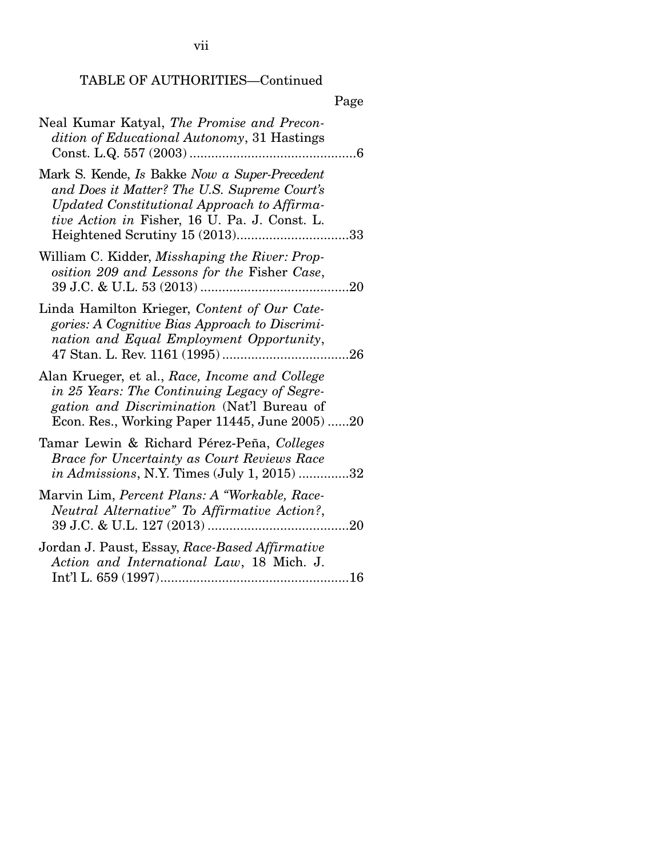vii

# TABLE OF AUTHORITIES—Continued

| ×<br>I |
|--------|
|--------|

| Neal Kumar Katyal, The Promise and Precon-<br>dition of Educational Autonomy, 31 Hastings                                                                                                     |  |
|-----------------------------------------------------------------------------------------------------------------------------------------------------------------------------------------------|--|
| Mark S. Kende, Is Bakke Now a Super-Precedent<br>and Does it Matter? The U.S. Supreme Court's<br>Updated Constitutional Approach to Affirma-<br>tive Action in Fisher, 16 U. Pa. J. Const. L. |  |
| William C. Kidder, Misshaping the River: Prop-<br>osition 209 and Lessons for the Fisher Case,                                                                                                |  |
| Linda Hamilton Krieger, Content of Our Cate-<br>gories: A Cognitive Bias Approach to Discrimi-<br>nation and Equal Employment Opportunity,<br>.26                                             |  |
| Alan Krueger, et al., Race, Income and College<br>in 25 Years: The Continuing Legacy of Segre-<br>gation and Discrimination (Nat'l Bureau of<br>Econ. Res., Working Paper 11445, June 2005)20 |  |
| Tamar Lewin & Richard Pérez-Peña, Colleges<br><b>Brace for Uncertainty as Court Reviews Race</b><br><i>in Admissions, N.Y. Times (July 1, 2015) 32</i>                                        |  |
| Marvin Lim, Percent Plans: A "Workable, Race-<br>Neutral Alternative" To Affirmative Action?,                                                                                                 |  |
| Jordan J. Paust, Essay, Race-Based Affirmative<br>Action and International Law, 18 Mich. J.                                                                                                   |  |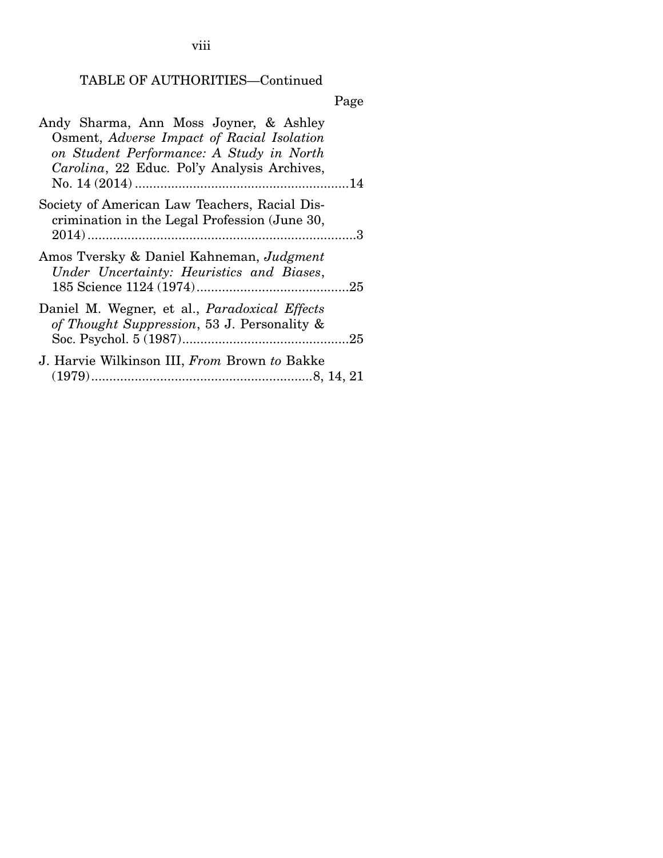viii

# TABLE OF AUTHORITIES—Continued

Page

| Andy Sharma, Ann Moss Joyner, & Ashley<br>Osment, Adverse Impact of Racial Isolation<br>on Student Performance: A Study in North<br>Carolina, 22 Educ. Pol'y Analysis Archives, |  |
|---------------------------------------------------------------------------------------------------------------------------------------------------------------------------------|--|
| Society of American Law Teachers, Racial Dis-<br>crimination in the Legal Profession (June 30,                                                                                  |  |
| Amos Tversky & Daniel Kahneman, Judgment<br>Under Uncertainty: Heuristics and Biases,                                                                                           |  |
| Daniel M. Wegner, et al., <i>Paradoxical Effects</i><br>of Thought Suppression, 53 J. Personality &                                                                             |  |
| J. Harvie Wilkinson III, From Brown to Bakke                                                                                                                                    |  |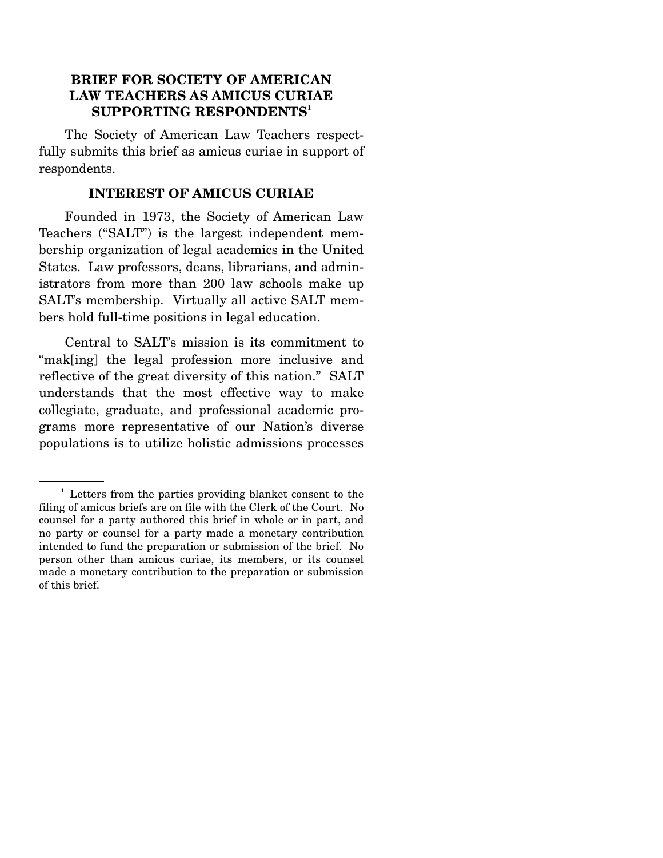### **BRIEF FOR SOCIETY OF AMERICAN LAW TEACHERS AS AMICUS CURIAE SUPPORTING RESPONDENTS**<sup>1</sup>

 The Society of American Law Teachers respectfully submits this brief as amicus curiae in support of respondents.

#### **INTEREST OF AMICUS CURIAE**

 Founded in 1973, the Society of American Law Teachers ("SALT") is the largest independent membership organization of legal academics in the United States. Law professors, deans, librarians, and administrators from more than 200 law schools make up SALT's membership. Virtually all active SALT members hold full-time positions in legal education.

 Central to SALT's mission is its commitment to "mak[ing] the legal profession more inclusive and reflective of the great diversity of this nation." SALT understands that the most effective way to make collegiate, graduate, and professional academic programs more representative of our Nation's diverse populations is to utilize holistic admissions processes

<sup>&</sup>lt;sup>1</sup> Letters from the parties providing blanket consent to the filing of amicus briefs are on file with the Clerk of the Court. No counsel for a party authored this brief in whole or in part, and no party or counsel for a party made a monetary contribution intended to fund the preparation or submission of the brief. No person other than amicus curiae, its members, or its counsel made a monetary contribution to the preparation or submission of this brief.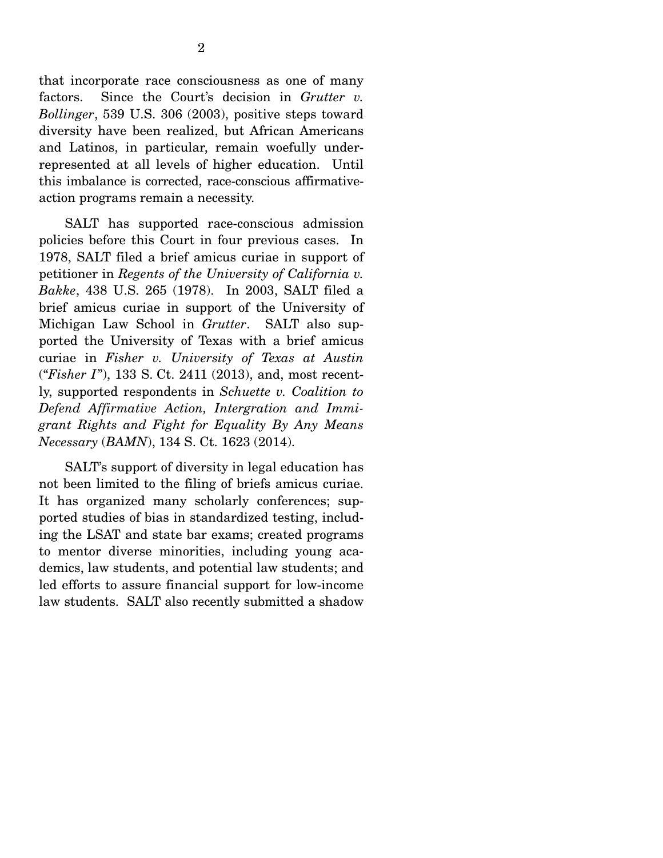that incorporate race consciousness as one of many factors. Since the Court's decision in *Grutter v. Bollinger*, 539 U.S. 306 (2003), positive steps toward diversity have been realized, but African Americans and Latinos, in particular, remain woefully underrepresented at all levels of higher education. Until this imbalance is corrected, race-conscious affirmativeaction programs remain a necessity.

 SALT has supported race-conscious admission policies before this Court in four previous cases. In 1978, SALT filed a brief amicus curiae in support of petitioner in *Regents of the University of California v. Bakke*, 438 U.S. 265 (1978). In 2003, SALT filed a brief amicus curiae in support of the University of Michigan Law School in *Grutter*. SALT also supported the University of Texas with a brief amicus curiae in *Fisher v. University of Texas at Austin* ("*Fisher I*"), 133 S. Ct. 2411 (2013), and, most recently, supported respondents in *Schuette v. Coalition to Defend Affirmative Action, Intergration and Immigrant Rights and Fight for Equality By Any Means Necessary* (*BAMN*), 134 S. Ct. 1623 (2014).

 SALT's support of diversity in legal education has not been limited to the filing of briefs amicus curiae. It has organized many scholarly conferences; supported studies of bias in standardized testing, including the LSAT and state bar exams; created programs to mentor diverse minorities, including young academics, law students, and potential law students; and led efforts to assure financial support for low-income law students. SALT also recently submitted a shadow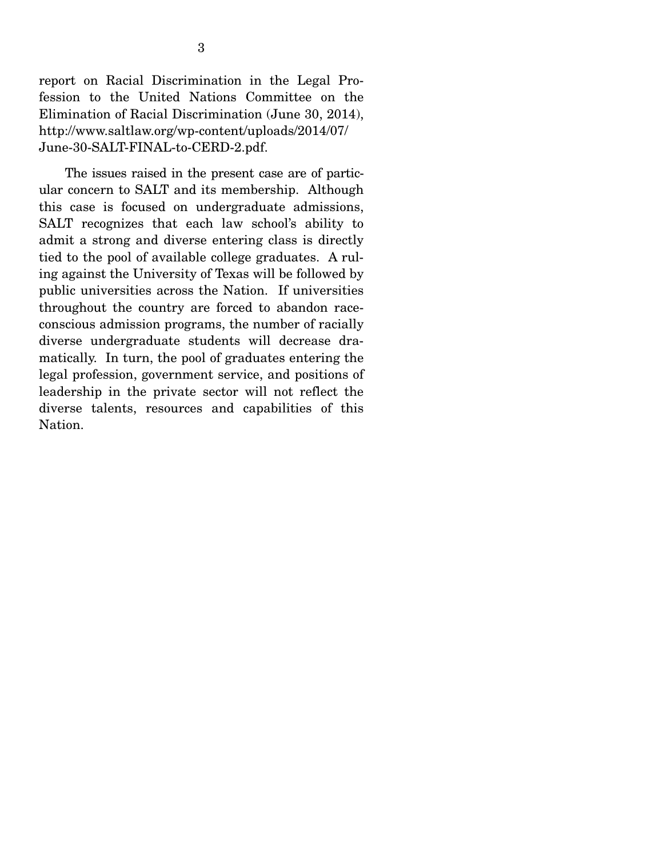report on Racial Discrimination in the Legal Profession to the United Nations Committee on the Elimination of Racial Discrimination (June 30, 2014), http://www.saltlaw.org/wp-content/uploads/2014/07/ June-30-SALT-FINAL-to-CERD-2.pdf.

 The issues raised in the present case are of particular concern to SALT and its membership. Although this case is focused on undergraduate admissions, SALT recognizes that each law school's ability to admit a strong and diverse entering class is directly tied to the pool of available college graduates. A ruling against the University of Texas will be followed by public universities across the Nation. If universities throughout the country are forced to abandon raceconscious admission programs, the number of racially diverse undergraduate students will decrease dramatically. In turn, the pool of graduates entering the legal profession, government service, and positions of leadership in the private sector will not reflect the diverse talents, resources and capabilities of this Nation.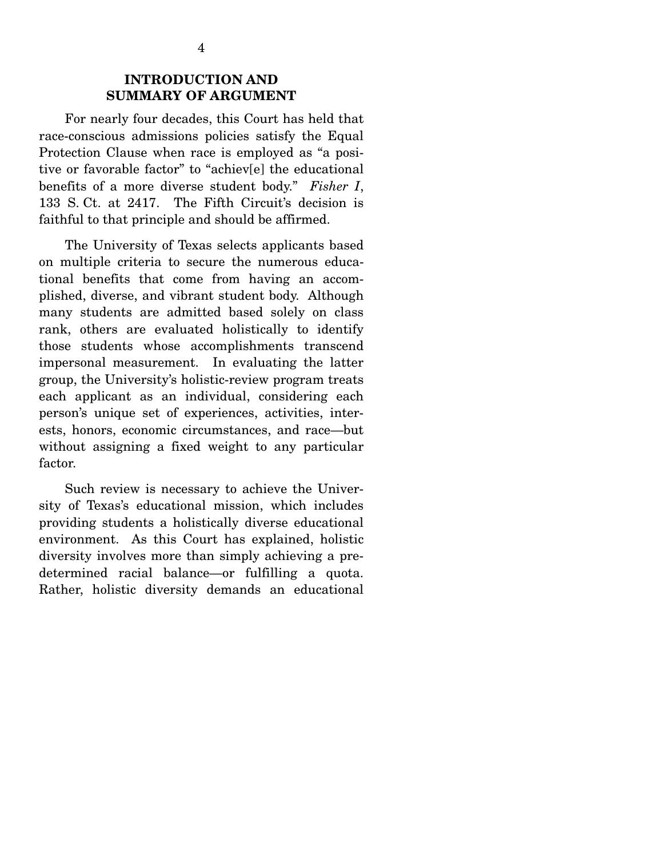### **INTRODUCTION AND SUMMARY OF ARGUMENT**

 For nearly four decades, this Court has held that race-conscious admissions policies satisfy the Equal Protection Clause when race is employed as "a positive or favorable factor" to "achiev[e] the educational benefits of a more diverse student body." *Fisher I*, 133 S. Ct. at 2417. The Fifth Circuit's decision is faithful to that principle and should be affirmed.

 The University of Texas selects applicants based on multiple criteria to secure the numerous educational benefits that come from having an accomplished, diverse, and vibrant student body. Although many students are admitted based solely on class rank, others are evaluated holistically to identify those students whose accomplishments transcend impersonal measurement. In evaluating the latter group, the University's holistic-review program treats each applicant as an individual, considering each person's unique set of experiences, activities, interests, honors, economic circumstances, and race—but without assigning a fixed weight to any particular factor.

 Such review is necessary to achieve the University of Texas's educational mission, which includes providing students a holistically diverse educational environment. As this Court has explained, holistic diversity involves more than simply achieving a predetermined racial balance—or fulfilling a quota. Rather, holistic diversity demands an educational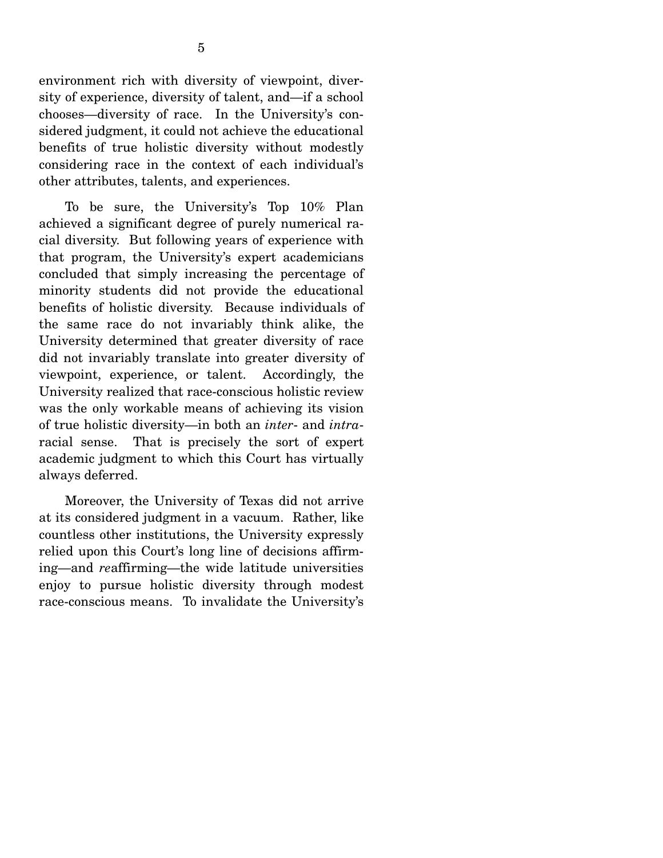environment rich with diversity of viewpoint, diversity of experience, diversity of talent, and—if a school chooses—diversity of race. In the University's considered judgment, it could not achieve the educational benefits of true holistic diversity without modestly considering race in the context of each individual's other attributes, talents, and experiences.

 To be sure, the University's Top 10% Plan achieved a significant degree of purely numerical racial diversity. But following years of experience with that program, the University's expert academicians concluded that simply increasing the percentage of minority students did not provide the educational benefits of holistic diversity. Because individuals of the same race do not invariably think alike, the University determined that greater diversity of race did not invariably translate into greater diversity of viewpoint, experience, or talent. Accordingly, the University realized that race-conscious holistic review was the only workable means of achieving its vision of true holistic diversity—in both an *inter*- and *intra*racial sense. That is precisely the sort of expert academic judgment to which this Court has virtually always deferred.

 Moreover, the University of Texas did not arrive at its considered judgment in a vacuum. Rather, like countless other institutions, the University expressly relied upon this Court's long line of decisions affirming—and *re*affirming—the wide latitude universities enjoy to pursue holistic diversity through modest race-conscious means. To invalidate the University's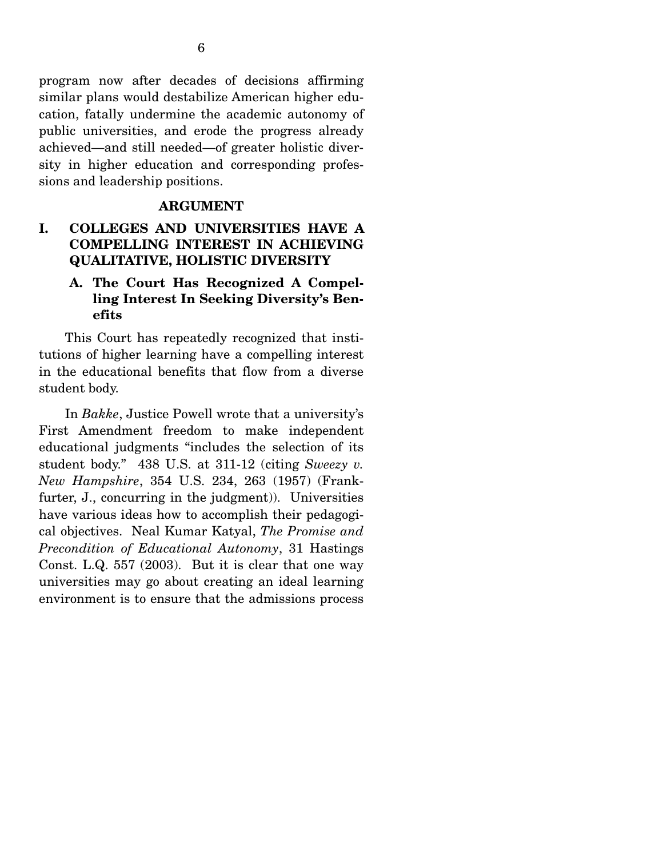program now after decades of decisions affirming similar plans would destabilize American higher education, fatally undermine the academic autonomy of public universities, and erode the progress already achieved—and still needed—of greater holistic diversity in higher education and corresponding professions and leadership positions.

#### **ARGUMENT**

# **I. COLLEGES AND UNIVERSITIES HAVE A COMPELLING INTEREST IN ACHIEVING QUALITATIVE, HOLISTIC DIVERSITY**

#### **A. The Court Has Recognized A Compelling Interest In Seeking Diversity's Benefits**

 This Court has repeatedly recognized that institutions of higher learning have a compelling interest in the educational benefits that flow from a diverse student body.

 In *Bakke*, Justice Powell wrote that a university's First Amendment freedom to make independent educational judgments "includes the selection of its student body." 438 U.S. at 311-12 (citing *Sweezy v. New Hampshire*, 354 U.S. 234, 263 (1957) (Frankfurter, J., concurring in the judgment). Universities have various ideas how to accomplish their pedagogical objectives. Neal Kumar Katyal, *The Promise and Precondition of Educational Autonomy*, 31 Hastings Const. L.Q. 557 (2003). But it is clear that one way universities may go about creating an ideal learning environment is to ensure that the admissions process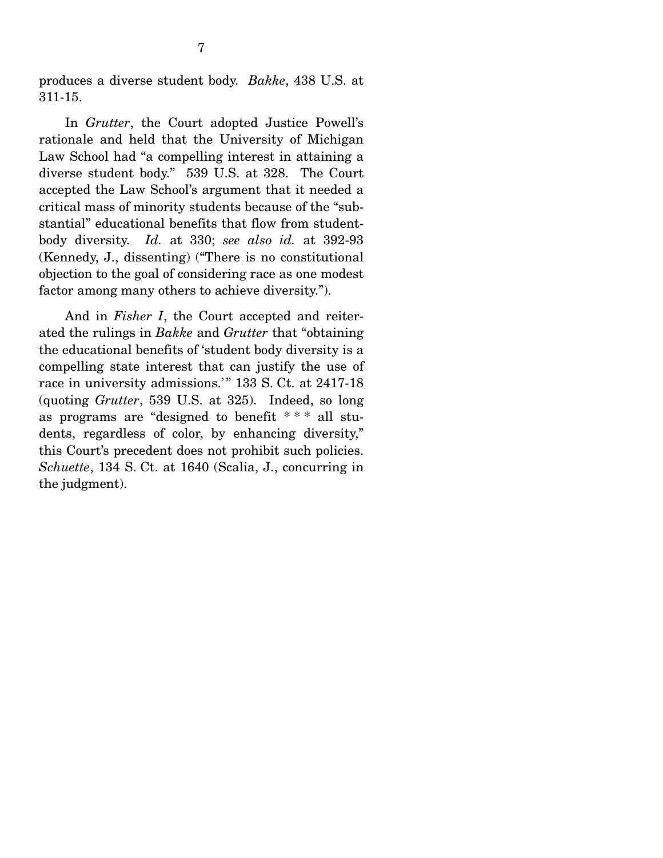produces a diverse student body. *Bakke*, 438 U.S. at 311-15.

 In *Grutter*, the Court adopted Justice Powell's rationale and held that the University of Michigan Law School had "a compelling interest in attaining a diverse student body." 539 U.S. at 328. The Court accepted the Law School's argument that it needed a critical mass of minority students because of the "substantial" educational benefits that flow from studentbody diversity. *Id.* at 330; *see also id.* at 392-93 (Kennedy, J., dissenting) ("There is no constitutional objection to the goal of considering race as one modest factor among many others to achieve diversity.").

 And in *Fisher I*, the Court accepted and reiterated the rulings in *Bakke* and *Grutter* that "obtaining the educational benefits of 'student body diversity is a compelling state interest that can justify the use of race in university admissions.'" 133 S. Ct. at 2417-18 (quoting *Grutter*, 539 U.S. at 325). Indeed, so long as programs are "designed to benefit \* \* \* all students, regardless of color, by enhancing diversity," this Court's precedent does not prohibit such policies. *Schuette*, 134 S. Ct. at 1640 (Scalia, J., concurring in the judgment).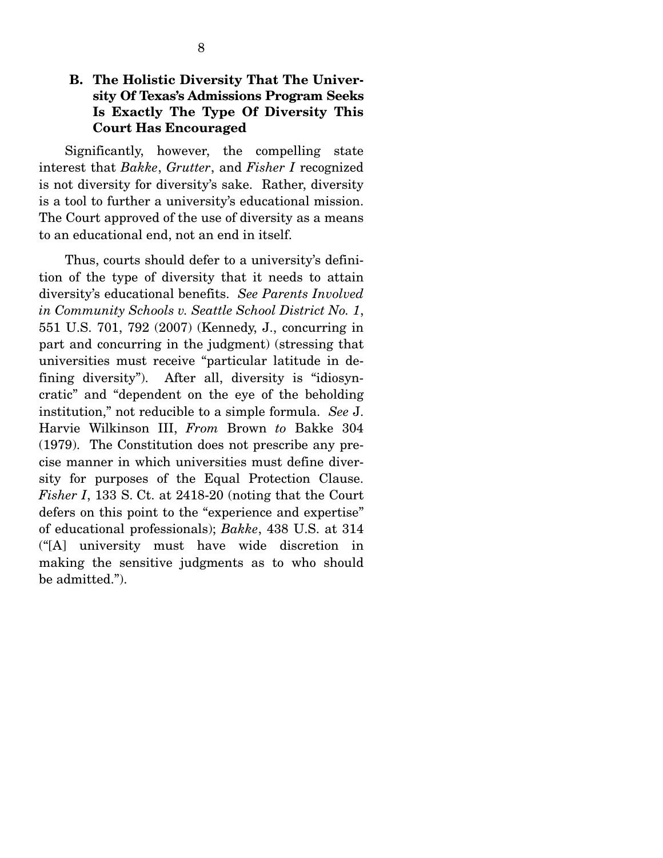# **B. The Holistic Diversity That The University Of Texas's Admissions Program Seeks Is Exactly The Type Of Diversity This Court Has Encouraged**

 Significantly, however, the compelling state interest that *Bakke*, *Grutter*, and *Fisher I* recognized is not diversity for diversity's sake. Rather, diversity is a tool to further a university's educational mission. The Court approved of the use of diversity as a means to an educational end, not an end in itself.

 Thus, courts should defer to a university's definition of the type of diversity that it needs to attain diversity's educational benefits. *See Parents Involved in Community Schools v. Seattle School District No. 1*, 551 U.S. 701, 792 (2007) (Kennedy, J., concurring in part and concurring in the judgment) (stressing that universities must receive "particular latitude in defining diversity"). After all, diversity is "idiosyncratic" and "dependent on the eye of the beholding institution," not reducible to a simple formula. *See* J. Harvie Wilkinson III, *From* Brown *to* Bakke 304 (1979). The Constitution does not prescribe any precise manner in which universities must define diversity for purposes of the Equal Protection Clause. *Fisher I*, 133 S. Ct. at 2418-20 (noting that the Court defers on this point to the "experience and expertise" of educational professionals); *Bakke*, 438 U.S. at 314 ("[A] university must have wide discretion in making the sensitive judgments as to who should be admitted.").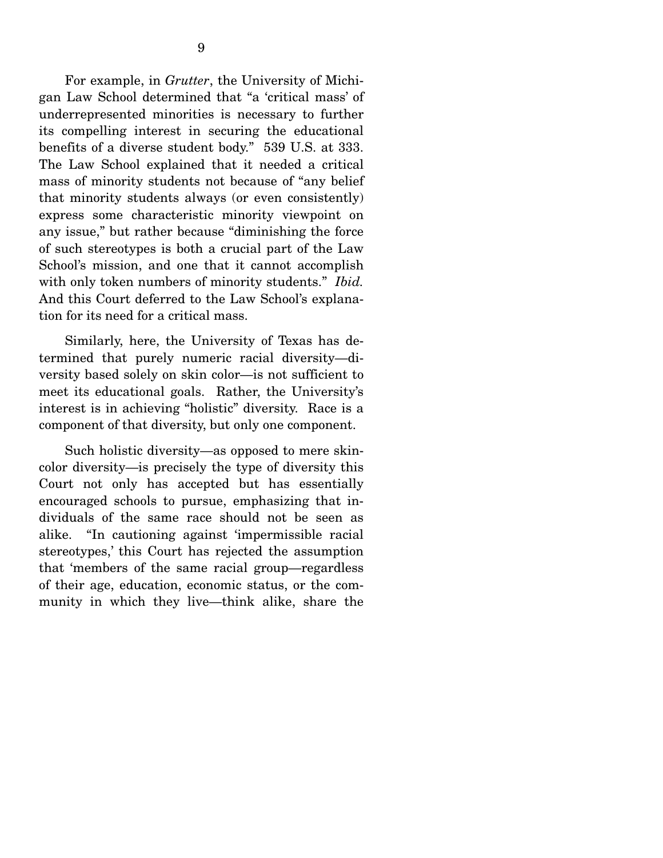For example, in *Grutter*, the University of Michigan Law School determined that "a 'critical mass' of underrepresented minorities is necessary to further its compelling interest in securing the educational benefits of a diverse student body." 539 U.S. at 333. The Law School explained that it needed a critical mass of minority students not because of "any belief that minority students always (or even consistently) express some characteristic minority viewpoint on any issue," but rather because "diminishing the force of such stereotypes is both a crucial part of the Law School's mission, and one that it cannot accomplish with only token numbers of minority students." *Ibid.* And this Court deferred to the Law School's explanation for its need for a critical mass.

 Similarly, here, the University of Texas has determined that purely numeric racial diversity—diversity based solely on skin color—is not sufficient to meet its educational goals. Rather, the University's interest is in achieving "holistic" diversity. Race is a component of that diversity, but only one component.

 Such holistic diversity—as opposed to mere skincolor diversity—is precisely the type of diversity this Court not only has accepted but has essentially encouraged schools to pursue, emphasizing that individuals of the same race should not be seen as alike. "In cautioning against 'impermissible racial stereotypes,' this Court has rejected the assumption that 'members of the same racial group—regardless of their age, education, economic status, or the community in which they live—think alike, share the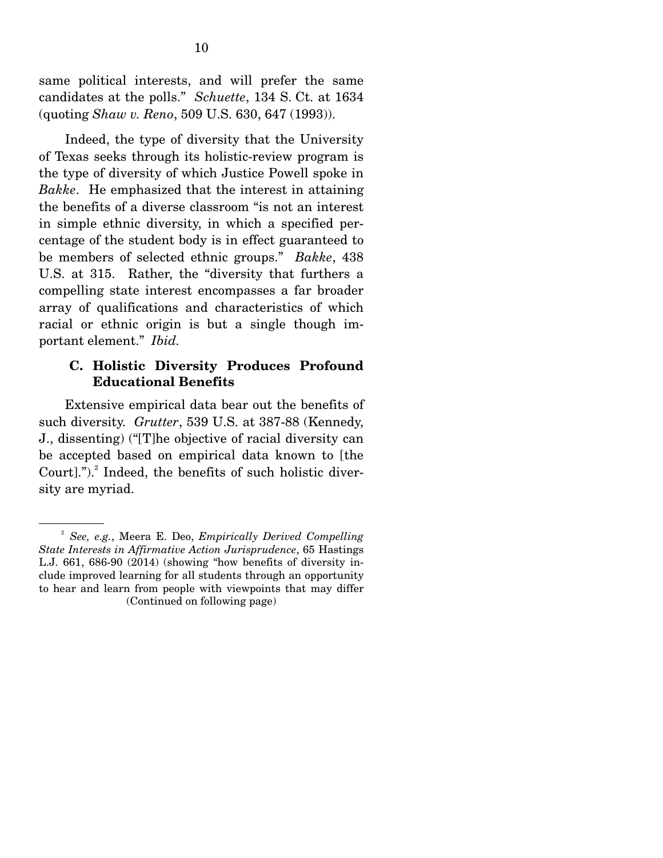same political interests, and will prefer the same candidates at the polls." *Schuette*, 134 S. Ct. at 1634 (quoting *Shaw v. Reno*, 509 U.S. 630, 647 (1993)).

 Indeed, the type of diversity that the University of Texas seeks through its holistic-review program is the type of diversity of which Justice Powell spoke in *Bakke*. He emphasized that the interest in attaining the benefits of a diverse classroom "is not an interest in simple ethnic diversity, in which a specified percentage of the student body is in effect guaranteed to be members of selected ethnic groups." *Bakke*, 438 U.S. at 315. Rather, the "diversity that furthers a compelling state interest encompasses a far broader array of qualifications and characteristics of which racial or ethnic origin is but a single though important element." *Ibid.*

#### **C. Holistic Diversity Produces Profound Educational Benefits**

 Extensive empirical data bear out the benefits of such diversity. *Grutter*, 539 U.S. at 387-88 (Kennedy, J., dissenting) ("[T]he objective of racial diversity can be accepted based on empirical data known to [the Court]."). $^{2}$  Indeed, the benefits of such holistic diversity are myriad.

<sup>2</sup> *See, e.g.*, Meera E. Deo, *Empirically Derived Compelling State Interests in Affirmative Action Jurisprudence*, 65 Hastings L.J. 661, 686-90 (2014) (showing "how benefits of diversity include improved learning for all students through an opportunity to hear and learn from people with viewpoints that may differ (Continued on following page)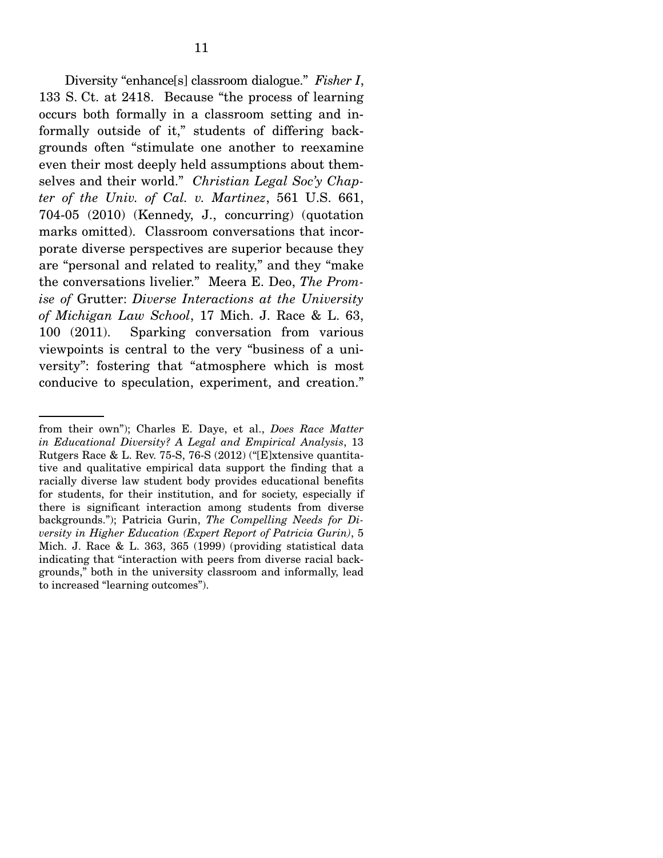Diversity "enhance[s] classroom dialogue." *Fisher I*, 133 S. Ct. at 2418. Because "the process of learning occurs both formally in a classroom setting and informally outside of it," students of differing backgrounds often "stimulate one another to reexamine even their most deeply held assumptions about themselves and their world." *Christian Legal Soc'y Chapter of the Univ. of Cal. v. Martinez*, 561 U.S. 661, 704-05 (2010) (Kennedy, J., concurring) (quotation marks omitted). Classroom conversations that incorporate diverse perspectives are superior because they are "personal and related to reality," and they "make the conversations livelier." Meera E. Deo, *The Promise of* Grutter: *Diverse Interactions at the University of Michigan Law School*, 17 Mich. J. Race & L. 63, 100 (2011). Sparking conversation from various viewpoints is central to the very "business of a university": fostering that "atmosphere which is most conducive to speculation, experiment, and creation."

from their own"); Charles E. Daye, et al., *Does Race Matter in Educational Diversity? A Legal and Empirical Analysis*, 13 Rutgers Race & L. Rev. 75-S, 76-S (2012) ("[E]xtensive quantitative and qualitative empirical data support the finding that a racially diverse law student body provides educational benefits for students, for their institution, and for society, especially if there is significant interaction among students from diverse backgrounds."); Patricia Gurin, *The Compelling Needs for Diversity in Higher Education (Expert Report of Patricia Gurin)*, 5 Mich. J. Race & L. 363, 365 (1999) (providing statistical data indicating that "interaction with peers from diverse racial backgrounds," both in the university classroom and informally, lead to increased "learning outcomes").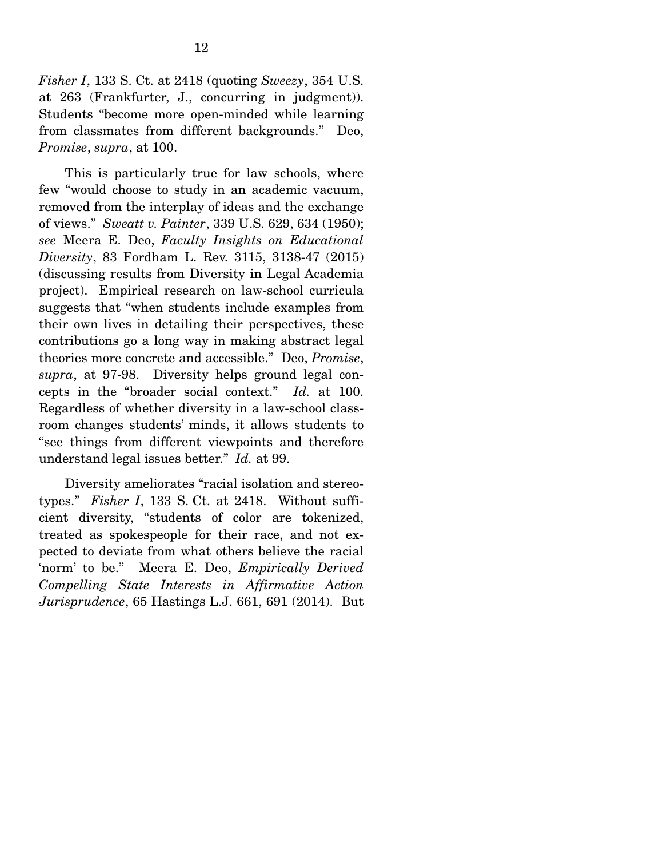*Fisher I*, 133 S. Ct. at 2418 (quoting *Sweezy*, 354 U.S. at 263 (Frankfurter, J., concurring in judgment)). Students "become more open-minded while learning from classmates from different backgrounds." Deo, *Promise*, *supra*, at 100.

 This is particularly true for law schools, where few "would choose to study in an academic vacuum, removed from the interplay of ideas and the exchange of views." *Sweatt v. Painter*, 339 U.S. 629, 634 (1950); *see* Meera E. Deo, *Faculty Insights on Educational Diversity*, 83 Fordham L. Rev. 3115, 3138-47 (2015) (discussing results from Diversity in Legal Academia project). Empirical research on law-school curricula suggests that "when students include examples from their own lives in detailing their perspectives, these contributions go a long way in making abstract legal theories more concrete and accessible." Deo, *Promise*, *supra*, at 97-98. Diversity helps ground legal concepts in the "broader social context." *Id.* at 100. Regardless of whether diversity in a law-school classroom changes students' minds, it allows students to "see things from different viewpoints and therefore understand legal issues better." *Id.* at 99.

 Diversity ameliorates "racial isolation and stereotypes." *Fisher I*, 133 S. Ct. at 2418. Without sufficient diversity, "students of color are tokenized, treated as spokespeople for their race, and not expected to deviate from what others believe the racial 'norm' to be." Meera E. Deo, *Empirically Derived Compelling State Interests in Affirmative Action Jurisprudence*, 65 Hastings L.J. 661, 691 (2014). But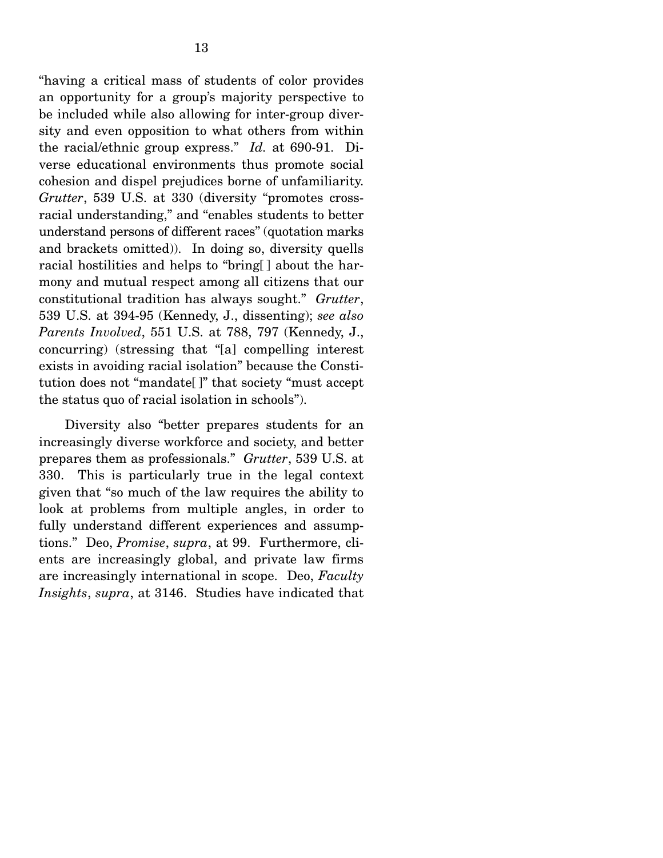"having a critical mass of students of color provides an opportunity for a group's majority perspective to be included while also allowing for inter-group diversity and even opposition to what others from within the racial/ethnic group express." *Id.* at 690-91. Diverse educational environments thus promote social cohesion and dispel prejudices borne of unfamiliarity. *Grutter*, 539 U.S. at 330 (diversity "promotes crossracial understanding," and "enables students to better understand persons of different races" (quotation marks and brackets omitted)). In doing so, diversity quells racial hostilities and helps to "bring[ ] about the harmony and mutual respect among all citizens that our constitutional tradition has always sought." *Grutter*, 539 U.S. at 394-95 (Kennedy, J., dissenting); *see also Parents Involved*, 551 U.S. at 788, 797 (Kennedy, J., concurring) (stressing that "[a] compelling interest exists in avoiding racial isolation" because the Constitution does not "mandate[ ]" that society "must accept the status quo of racial isolation in schools").

 Diversity also "better prepares students for an increasingly diverse workforce and society, and better prepares them as professionals." *Grutter*, 539 U.S. at 330. This is particularly true in the legal context given that "so much of the law requires the ability to look at problems from multiple angles, in order to fully understand different experiences and assumptions." Deo, *Promise*, *supra*, at 99. Furthermore, clients are increasingly global, and private law firms are increasingly international in scope. Deo, *Faculty Insights*, *supra*, at 3146. Studies have indicated that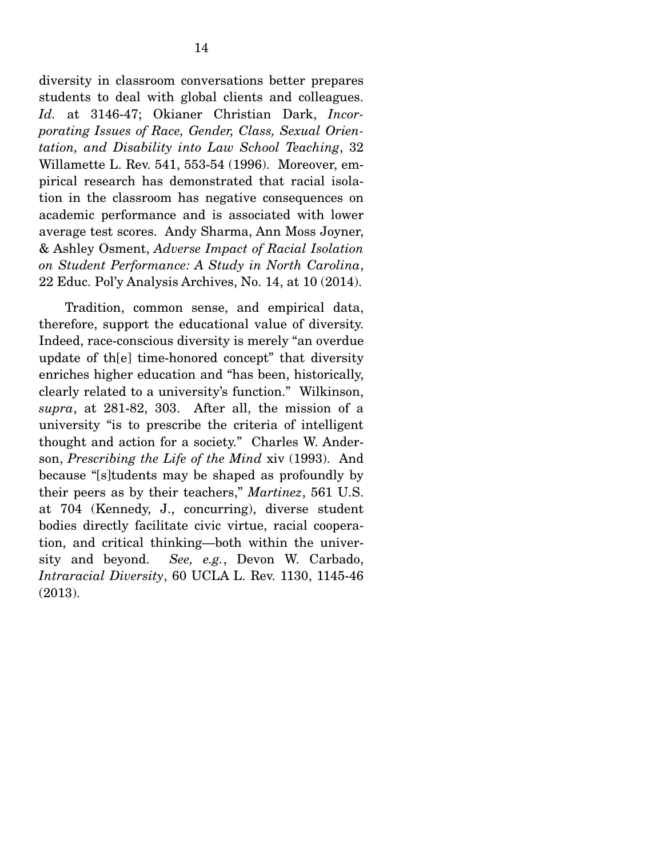diversity in classroom conversations better prepares students to deal with global clients and colleagues. *Id.* at 3146-47; Okianer Christian Dark, *Incorporating Issues of Race, Gender, Class, Sexual Orientation, and Disability into Law School Teaching*, 32 Willamette L. Rev. 541, 553-54 (1996). Moreover, empirical research has demonstrated that racial isolation in the classroom has negative consequences on academic performance and is associated with lower average test scores. Andy Sharma, Ann Moss Joyner, & Ashley Osment, *Adverse Impact of Racial Isolation on Student Performance: A Study in North Carolina*, 22 Educ. Pol'y Analysis Archives, No. 14, at 10 (2014).

 Tradition, common sense, and empirical data, therefore, support the educational value of diversity. Indeed, race-conscious diversity is merely "an overdue update of th[e] time-honored concept" that diversity enriches higher education and "has been, historically, clearly related to a university's function." Wilkinson, *supra*, at 281-82, 303. After all, the mission of a university "is to prescribe the criteria of intelligent thought and action for a society." Charles W. Anderson, *Prescribing the Life of the Mind* xiv (1993). And because "[s]tudents may be shaped as profoundly by their peers as by their teachers," *Martinez*, 561 U.S. at 704 (Kennedy, J., concurring), diverse student bodies directly facilitate civic virtue, racial cooperation, and critical thinking—both within the university and beyond. *See, e.g.*, Devon W. Carbado, *Intraracial Diversity*, 60 UCLA L. Rev. 1130, 1145-46 (2013).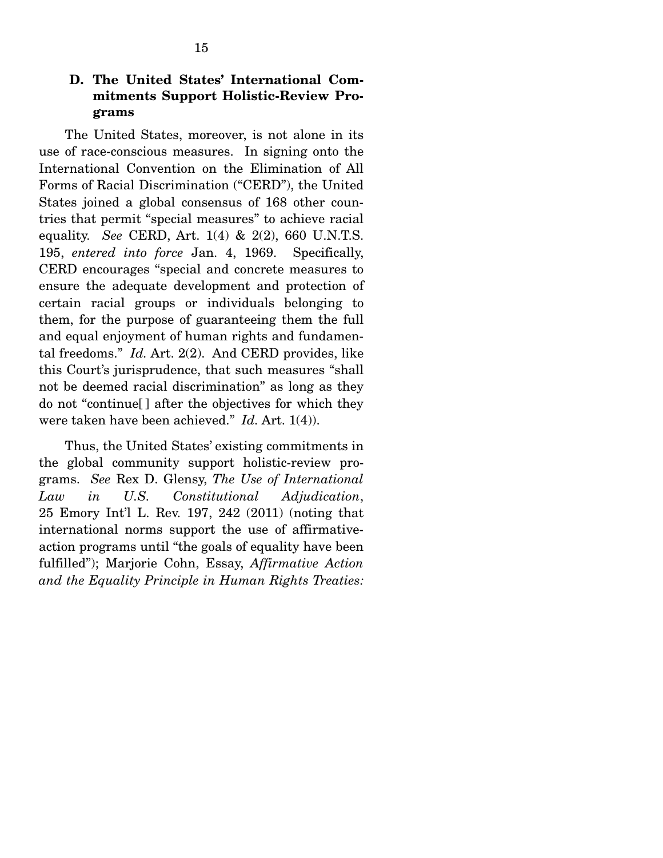# **D. The United States' International Commitments Support Holistic-Review Programs**

 The United States, moreover, is not alone in its use of race-conscious measures. In signing onto the International Convention on the Elimination of All Forms of Racial Discrimination ("CERD"), the United States joined a global consensus of 168 other countries that permit "special measures" to achieve racial equality. *See* CERD, Art. 1(4) & 2(2), 660 U.N.T.S. 195, *entered into force* Jan. 4, 1969. Specifically, CERD encourages "special and concrete measures to ensure the adequate development and protection of certain racial groups or individuals belonging to them, for the purpose of guaranteeing them the full and equal enjoyment of human rights and fundamental freedoms." *Id.* Art. 2(2). And CERD provides, like this Court's jurisprudence, that such measures "shall not be deemed racial discrimination" as long as they do not "continue[ ] after the objectives for which they were taken have been achieved." *Id.* Art. 1(4)).

 Thus, the United States' existing commitments in the global community support holistic-review programs. *See* Rex D. Glensy, *The Use of International Law in U.S. Constitutional Adjudication*, 25 Emory Int'l L. Rev. 197, 242 (2011) (noting that international norms support the use of affirmativeaction programs until "the goals of equality have been fulfilled"); Marjorie Cohn, Essay, *Affirmative Action and the Equality Principle in Human Rights Treaties:*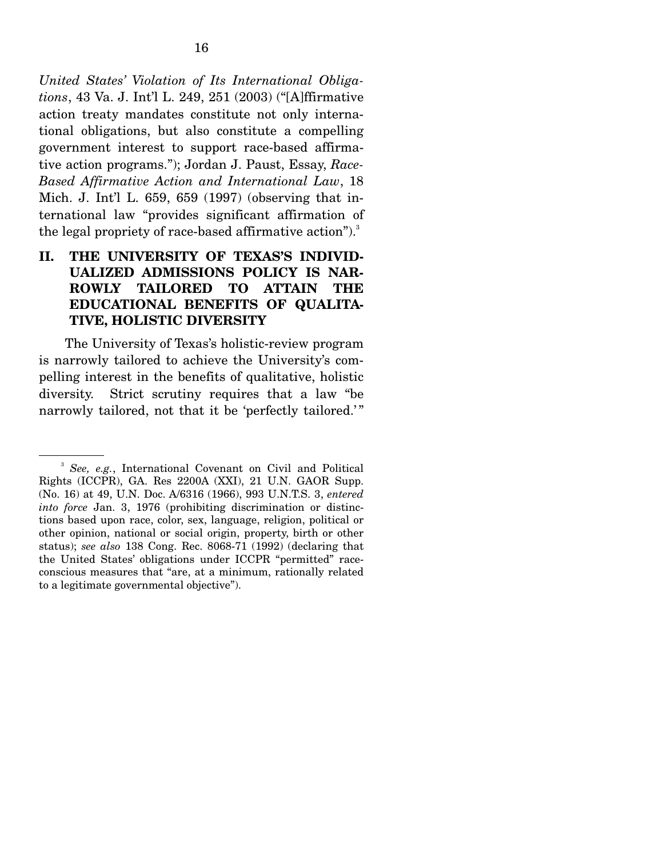*United States' Violation of Its International Obligations*, 43 Va. J. Int'l L. 249, 251 (2003) ("[A]ffirmative action treaty mandates constitute not only international obligations, but also constitute a compelling government interest to support race-based affirmative action programs."); Jordan J. Paust, Essay, *Race-Based Affirmative Action and International Law*, 18 Mich. J. Int'l L. 659, 659 (1997) (observing that international law "provides significant affirmation of the legal propriety of race-based affirmative action"). $3$ 

# **II. THE UNIVERSITY OF TEXAS'S INDIVID-UALIZED ADMISSIONS POLICY IS NAR-ROWLY TAILORED TO ATTAIN THE EDUCATIONAL BENEFITS OF QUALITA-TIVE, HOLISTIC DIVERSITY**

 The University of Texas's holistic-review program is narrowly tailored to achieve the University's compelling interest in the benefits of qualitative, holistic diversity. Strict scrutiny requires that a law "be narrowly tailored, not that it be 'perfectly tailored.'"

<sup>3</sup> *See, e.g.*, International Covenant on Civil and Political Rights (ICCPR), GA. Res 2200A (XXI), 21 U.N. GAOR Supp. (No. 16) at 49, U.N. Doc. A/6316 (1966), 993 U.N.T.S. 3, *entered into force* Jan. 3, 1976 (prohibiting discrimination or distinctions based upon race, color, sex, language, religion, political or other opinion, national or social origin, property, birth or other status); *see also* 138 Cong. Rec. 8068-71 (1992) (declaring that the United States' obligations under ICCPR "permitted" raceconscious measures that "are, at a minimum, rationally related to a legitimate governmental objective").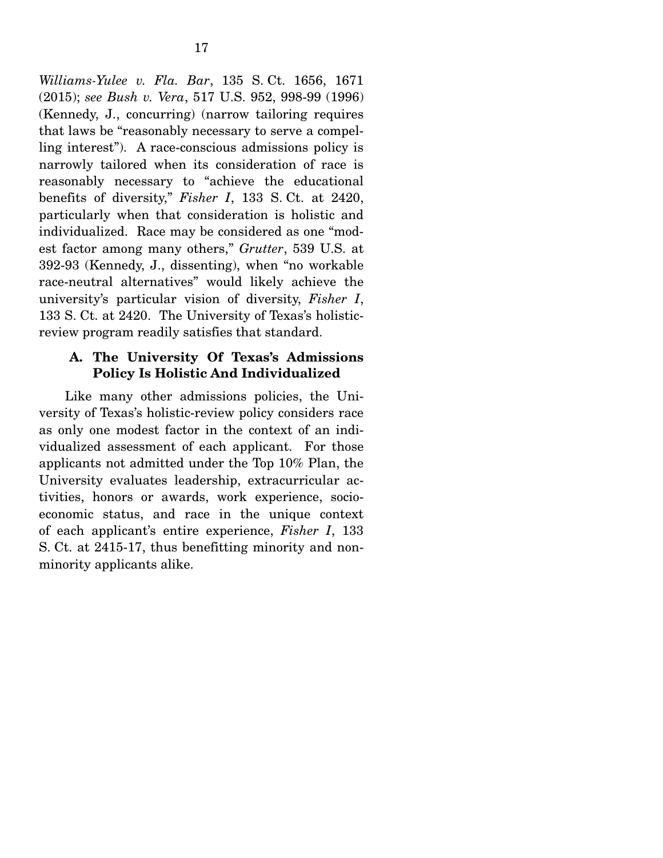*Williams-Yulee v. Fla. Bar*, 135 S. Ct. 1656, 1671 (2015); *see Bush v. Vera*, 517 U.S. 952, 998-99 (1996) (Kennedy, J., concurring) (narrow tailoring requires that laws be "reasonably necessary to serve a compelling interest"). A race-conscious admissions policy is narrowly tailored when its consideration of race is reasonably necessary to "achieve the educational benefits of diversity," *Fisher I*, 133 S. Ct. at 2420, particularly when that consideration is holistic and individualized. Race may be considered as one "modest factor among many others," *Grutter*, 539 U.S. at 392-93 (Kennedy, J., dissenting), when "no workable race-neutral alternatives" would likely achieve the university's particular vision of diversity, *Fisher I*, 133 S. Ct. at 2420. The University of Texas's holisticreview program readily satisfies that standard.

### **A. The University Of Texas's Admissions Policy Is Holistic And Individualized**

 Like many other admissions policies, the University of Texas's holistic-review policy considers race as only one modest factor in the context of an individualized assessment of each applicant. For those applicants not admitted under the Top 10% Plan, the University evaluates leadership, extracurricular activities, honors or awards, work experience, socioeconomic status, and race in the unique context of each applicant's entire experience, *Fisher I*, 133 S. Ct. at 2415-17, thus benefitting minority and nonminority applicants alike.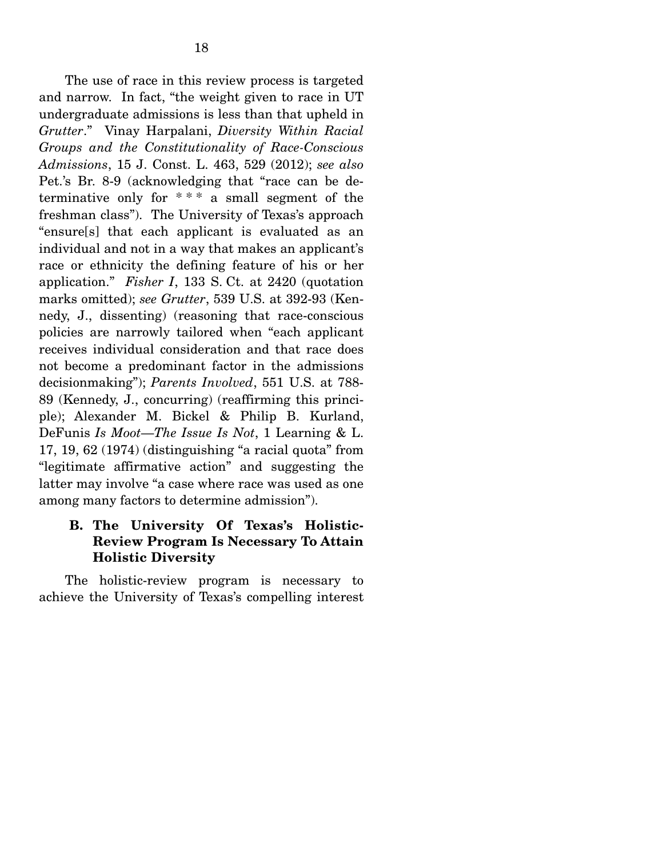The use of race in this review process is targeted and narrow. In fact, "the weight given to race in UT undergraduate admissions is less than that upheld in *Grutter*." Vinay Harpalani, *Diversity Within Racial Groups and the Constitutionality of Race-Conscious Admissions*, 15 J. Const. L. 463, 529 (2012); *see also*  Pet.'s Br. 8-9 (acknowledging that "race can be determinative only for  $***$  a small segment of the freshman class"). The University of Texas's approach "ensure[s] that each applicant is evaluated as an individual and not in a way that makes an applicant's race or ethnicity the defining feature of his or her application." *Fisher I*, 133 S. Ct. at 2420 (quotation marks omitted); *see Grutter*, 539 U.S. at 392-93 (Kennedy, J., dissenting) (reasoning that race-conscious policies are narrowly tailored when "each applicant receives individual consideration and that race does not become a predominant factor in the admissions decisionmaking"); *Parents Involved*, 551 U.S. at 788- 89 (Kennedy, J., concurring) (reaffirming this principle); Alexander M. Bickel & Philip B. Kurland, DeFunis *Is Moot*—*The Issue Is Not*, 1 Learning & L. 17, 19, 62 (1974) (distinguishing "a racial quota" from "legitimate affirmative action" and suggesting the latter may involve "a case where race was used as one among many factors to determine admission").

# **B. The University Of Texas's Holistic-Review Program Is Necessary To Attain Holistic Diversity**

 The holistic-review program is necessary to achieve the University of Texas's compelling interest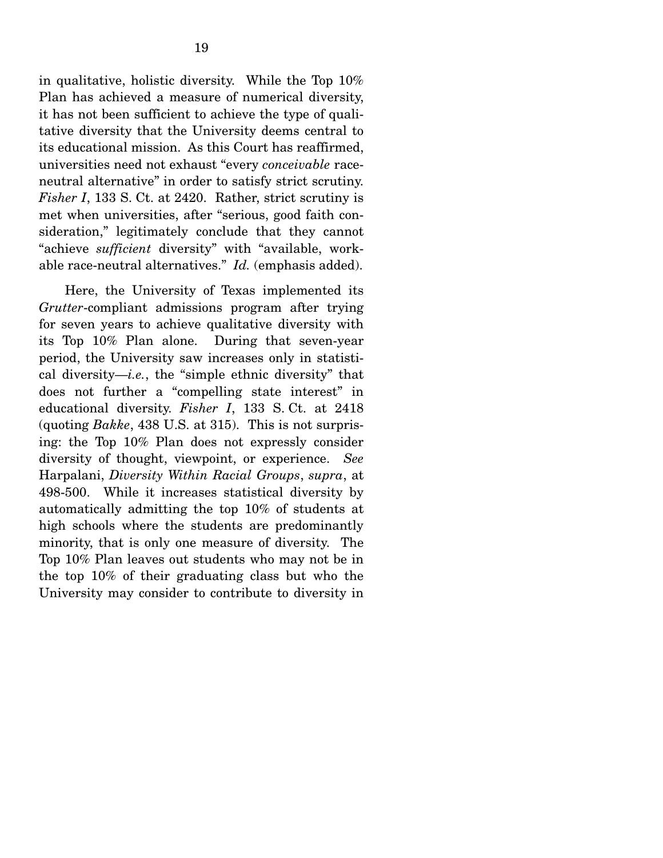in qualitative, holistic diversity. While the Top 10% Plan has achieved a measure of numerical diversity, it has not been sufficient to achieve the type of qualitative diversity that the University deems central to its educational mission. As this Court has reaffirmed, universities need not exhaust "every *conceivable* raceneutral alternative" in order to satisfy strict scrutiny. *Fisher I*, 133 S. Ct. at 2420. Rather, strict scrutiny is met when universities, after "serious, good faith consideration," legitimately conclude that they cannot "achieve *sufficient* diversity" with "available, workable race-neutral alternatives." *Id.* (emphasis added).

 Here, the University of Texas implemented its *Grutter*-compliant admissions program after trying for seven years to achieve qualitative diversity with its Top 10% Plan alone. During that seven-year period, the University saw increases only in statistical diversity—*i.e.*, the "simple ethnic diversity" that does not further a "compelling state interest" in educational diversity. *Fisher I*, 133 S. Ct. at 2418 (quoting *Bakke*, 438 U.S. at 315). This is not surprising: the Top 10% Plan does not expressly consider diversity of thought, viewpoint, or experience. *See*  Harpalani, *Diversity Within Racial Groups*, *supra*, at 498-500. While it increases statistical diversity by automatically admitting the top 10% of students at high schools where the students are predominantly minority, that is only one measure of diversity. The Top 10% Plan leaves out students who may not be in the top 10% of their graduating class but who the University may consider to contribute to diversity in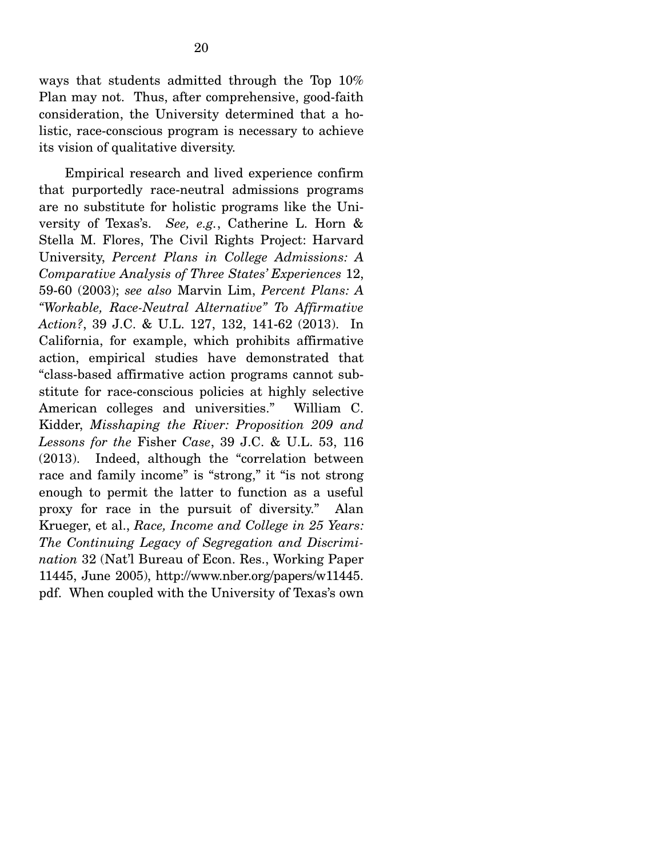ways that students admitted through the Top 10% Plan may not. Thus, after comprehensive, good-faith consideration, the University determined that a holistic, race-conscious program is necessary to achieve its vision of qualitative diversity.

 Empirical research and lived experience confirm that purportedly race-neutral admissions programs are no substitute for holistic programs like the University of Texas's. *See, e.g.*, Catherine L. Horn & Stella M. Flores, The Civil Rights Project: Harvard University, *Percent Plans in College Admissions: A Comparative Analysis of Three States' Experiences* 12, 59-60 (2003); *see also* Marvin Lim, *Percent Plans: A "Workable, Race-Neutral Alternative" To Affirmative Action?*, 39 J.C. & U.L. 127, 132, 141-62 (2013). In California, for example, which prohibits affirmative action, empirical studies have demonstrated that "class-based affirmative action programs cannot substitute for race-conscious policies at highly selective American colleges and universities." William C. Kidder, *Misshaping the River: Proposition 209 and Lessons for the* Fisher *Case*, 39 J.C. & U.L. 53, 116 (2013). Indeed, although the "correlation between race and family income" is "strong," it "is not strong enough to permit the latter to function as a useful proxy for race in the pursuit of diversity." Alan Krueger, et al., *Race, Income and College in 25 Years: The Continuing Legacy of Segregation and Discrimination* 32 (Nat'l Bureau of Econ. Res., Working Paper 11445, June 2005), http://www.nber.org/papers/w11445. pdf. When coupled with the University of Texas's own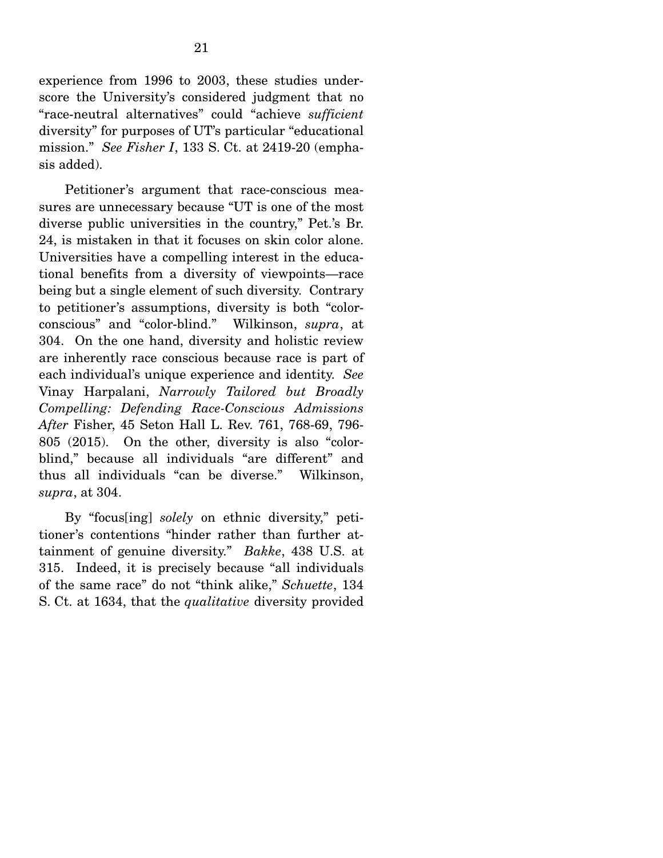experience from 1996 to 2003, these studies underscore the University's considered judgment that no "race-neutral alternatives" could "achieve *sufficient* diversity" for purposes of UT's particular "educational mission." *See Fisher I*, 133 S. Ct. at 2419-20 (emphasis added).

 Petitioner's argument that race-conscious measures are unnecessary because "UT is one of the most diverse public universities in the country," Pet.'s Br. 24, is mistaken in that it focuses on skin color alone. Universities have a compelling interest in the educational benefits from a diversity of viewpoints—race being but a single element of such diversity. Contrary to petitioner's assumptions, diversity is both "colorconscious" and "color-blind." Wilkinson, *supra*, at 304. On the one hand, diversity and holistic review are inherently race conscious because race is part of each individual's unique experience and identity. *See*  Vinay Harpalani, *Narrowly Tailored but Broadly Compelling: Defending Race-Conscious Admissions After* Fisher, 45 Seton Hall L. Rev. 761, 768-69, 796- 805 (2015). On the other, diversity is also "colorblind," because all individuals "are different" and thus all individuals "can be diverse." Wilkinson, *supra*, at 304.

 By "focus[ing] *solely* on ethnic diversity," petitioner's contentions "hinder rather than further attainment of genuine diversity." *Bakke*, 438 U.S. at 315. Indeed, it is precisely because "all individuals of the same race" do not "think alike," *Schuette*, 134 S. Ct. at 1634, that the *qualitative* diversity provided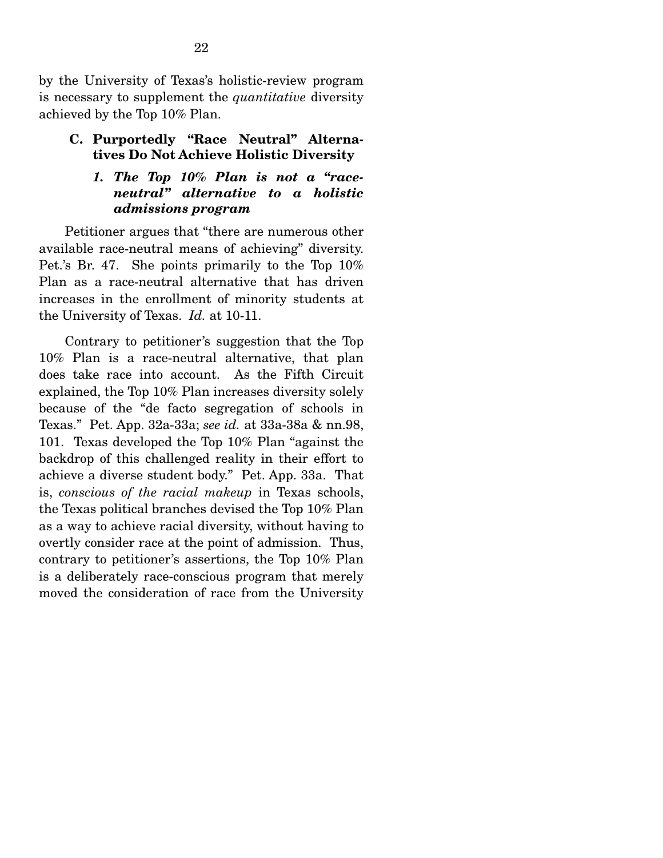by the University of Texas's holistic-review program is necessary to supplement the *quantitative* diversity achieved by the Top 10% Plan.

#### **C. Purportedly "Race Neutral" Alternatives Do Not Achieve Holistic Diversity**

#### *1. The Top 10% Plan is not a "raceneutral" alternative to a holistic admissions program*

 Petitioner argues that "there are numerous other available race-neutral means of achieving" diversity. Pet.'s Br. 47. She points primarily to the Top 10% Plan as a race-neutral alternative that has driven increases in the enrollment of minority students at the University of Texas. *Id.* at 10-11.

 Contrary to petitioner's suggestion that the Top 10% Plan is a race-neutral alternative, that plan does take race into account. As the Fifth Circuit explained, the Top 10% Plan increases diversity solely because of the "de facto segregation of schools in Texas." Pet. App. 32a-33a; *see id.* at 33a-38a & nn.98, 101. Texas developed the Top 10% Plan "against the backdrop of this challenged reality in their effort to achieve a diverse student body." Pet. App. 33a. That is, *conscious of the racial makeup* in Texas schools, the Texas political branches devised the Top 10% Plan as a way to achieve racial diversity, without having to overtly consider race at the point of admission. Thus, contrary to petitioner's assertions, the Top 10% Plan is a deliberately race-conscious program that merely moved the consideration of race from the University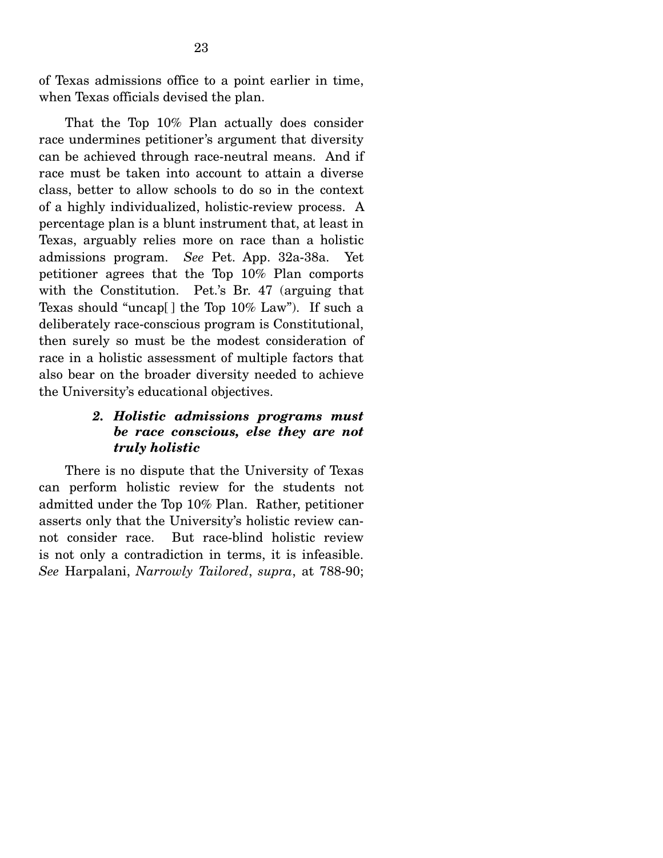of Texas admissions office to a point earlier in time, when Texas officials devised the plan.

 That the Top 10% Plan actually does consider race undermines petitioner's argument that diversity can be achieved through race-neutral means. And if race must be taken into account to attain a diverse class, better to allow schools to do so in the context of a highly individualized, holistic-review process. A percentage plan is a blunt instrument that, at least in Texas, arguably relies more on race than a holistic admissions program. *See* Pet. App. 32a-38a. Yet petitioner agrees that the Top 10% Plan comports with the Constitution. Pet.'s Br. 47 (arguing that Texas should "uncap[ ] the Top 10% Law"). If such a deliberately race-conscious program is Constitutional, then surely so must be the modest consideration of race in a holistic assessment of multiple factors that also bear on the broader diversity needed to achieve the University's educational objectives.

### *2. Holistic admissions programs must be race conscious, else they are not truly holistic*

 There is no dispute that the University of Texas can perform holistic review for the students not admitted under the Top 10% Plan. Rather, petitioner asserts only that the University's holistic review cannot consider race. But race-blind holistic review is not only a contradiction in terms, it is infeasible. *See* Harpalani, *Narrowly Tailored*, *supra*, at 788-90;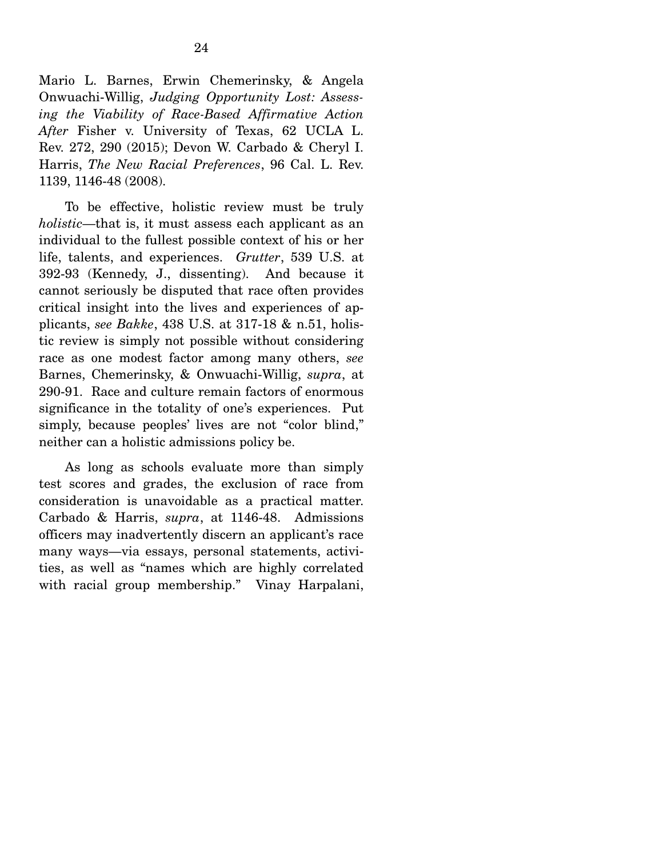Mario L. Barnes, Erwin Chemerinsky, & Angela Onwuachi-Willig, *Judging Opportunity Lost: Assessing the Viability of Race-Based Affirmative Action After* Fisher v. University of Texas, 62 UCLA L. Rev. 272, 290 (2015); Devon W. Carbado & Cheryl I. Harris, *The New Racial Preferences*, 96 Cal. L. Rev. 1139, 1146-48 (2008).

 To be effective, holistic review must be truly *holistic*—that is, it must assess each applicant as an individual to the fullest possible context of his or her life, talents, and experiences. *Grutter*, 539 U.S. at 392-93 (Kennedy, J., dissenting). And because it cannot seriously be disputed that race often provides critical insight into the lives and experiences of applicants, *see Bakke*, 438 U.S. at 317-18 & n.51, holistic review is simply not possible without considering race as one modest factor among many others, *see*  Barnes, Chemerinsky, & Onwuachi-Willig, *supra*, at 290-91. Race and culture remain factors of enormous significance in the totality of one's experiences. Put simply, because peoples' lives are not "color blind," neither can a holistic admissions policy be.

 As long as schools evaluate more than simply test scores and grades, the exclusion of race from consideration is unavoidable as a practical matter. Carbado & Harris, *supra*, at 1146-48. Admissions officers may inadvertently discern an applicant's race many ways—via essays, personal statements, activities, as well as "names which are highly correlated with racial group membership." Vinay Harpalani,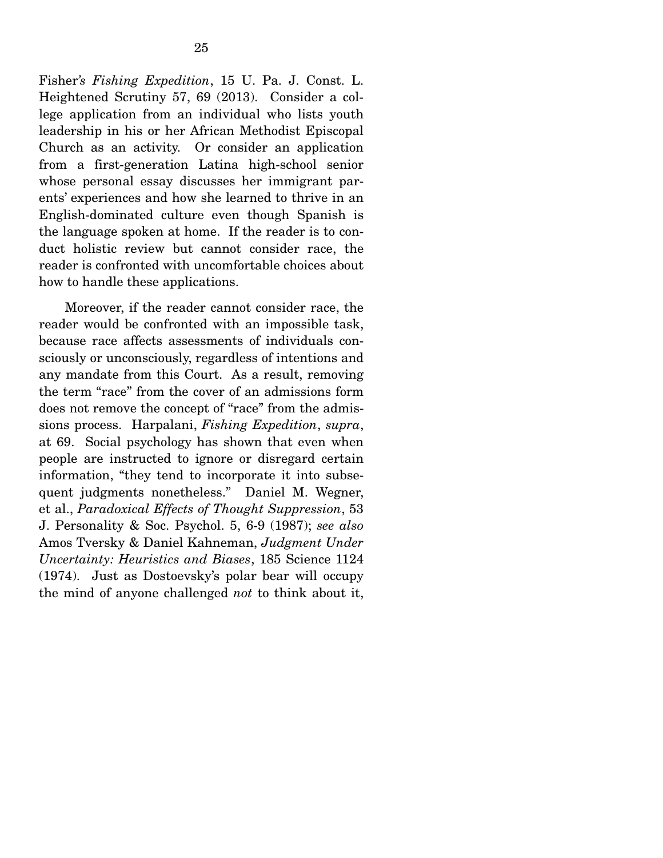Fisher*'s Fishing Expedition*, 15 U. Pa. J. Const. L. Heightened Scrutiny 57, 69 (2013). Consider a college application from an individual who lists youth leadership in his or her African Methodist Episcopal Church as an activity. Or consider an application from a first-generation Latina high-school senior whose personal essay discusses her immigrant parents' experiences and how she learned to thrive in an English-dominated culture even though Spanish is the language spoken at home. If the reader is to conduct holistic review but cannot consider race, the reader is confronted with uncomfortable choices about how to handle these applications.

 Moreover, if the reader cannot consider race, the reader would be confronted with an impossible task, because race affects assessments of individuals consciously or unconsciously, regardless of intentions and any mandate from this Court. As a result, removing the term "race" from the cover of an admissions form does not remove the concept of "race" from the admissions process. Harpalani, *Fishing Expedition*, *supra*, at 69. Social psychology has shown that even when people are instructed to ignore or disregard certain information, "they tend to incorporate it into subsequent judgments nonetheless." Daniel M. Wegner, et al., *Paradoxical Effects of Thought Suppression*, 53 J. Personality & Soc. Psychol. 5, 6-9 (1987); *see also*  Amos Tversky & Daniel Kahneman, *Judgment Under Uncertainty: Heuristics and Biases*, 185 Science 1124 (1974). Just as Dostoevsky's polar bear will occupy the mind of anyone challenged *not* to think about it,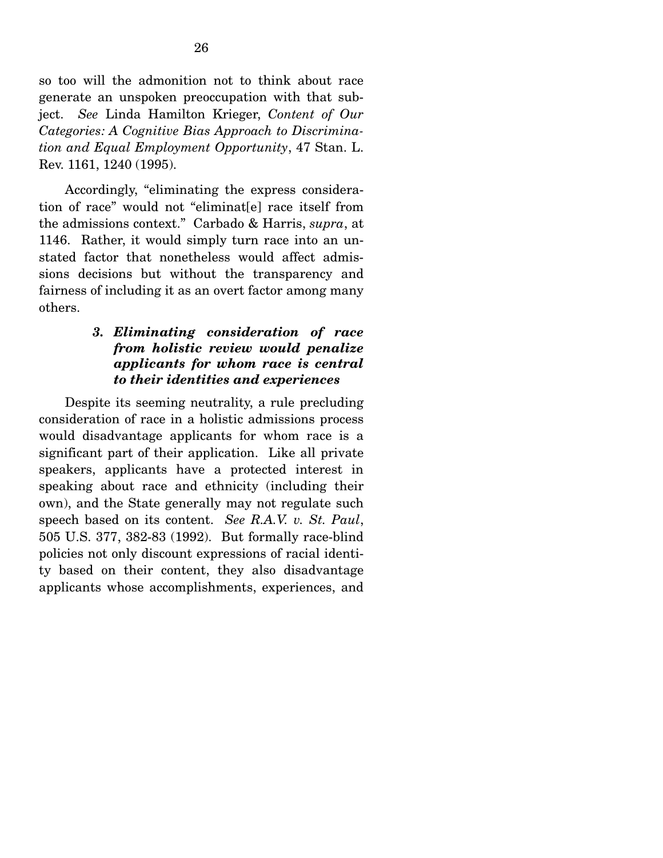so too will the admonition not to think about race generate an unspoken preoccupation with that subject. *See* Linda Hamilton Krieger, *Content of Our Categories: A Cognitive Bias Approach to Discrimination and Equal Employment Opportunity*, 47 Stan. L. Rev. 1161, 1240 (1995).

 Accordingly, "eliminating the express consideration of race" would not "eliminat[e] race itself from the admissions context." Carbado & Harris, *supra*, at 1146. Rather, it would simply turn race into an unstated factor that nonetheless would affect admissions decisions but without the transparency and fairness of including it as an overt factor among many others.

## *3. Eliminating consideration of race from holistic review would penalize applicants for whom race is central to their identities and experiences*

 Despite its seeming neutrality, a rule precluding consideration of race in a holistic admissions process would disadvantage applicants for whom race is a significant part of their application. Like all private speakers, applicants have a protected interest in speaking about race and ethnicity (including their own), and the State generally may not regulate such speech based on its content. *See R.A.V. v. St. Paul*, 505 U.S. 377, 382-83 (1992). But formally race-blind policies not only discount expressions of racial identity based on their content, they also disadvantage applicants whose accomplishments, experiences, and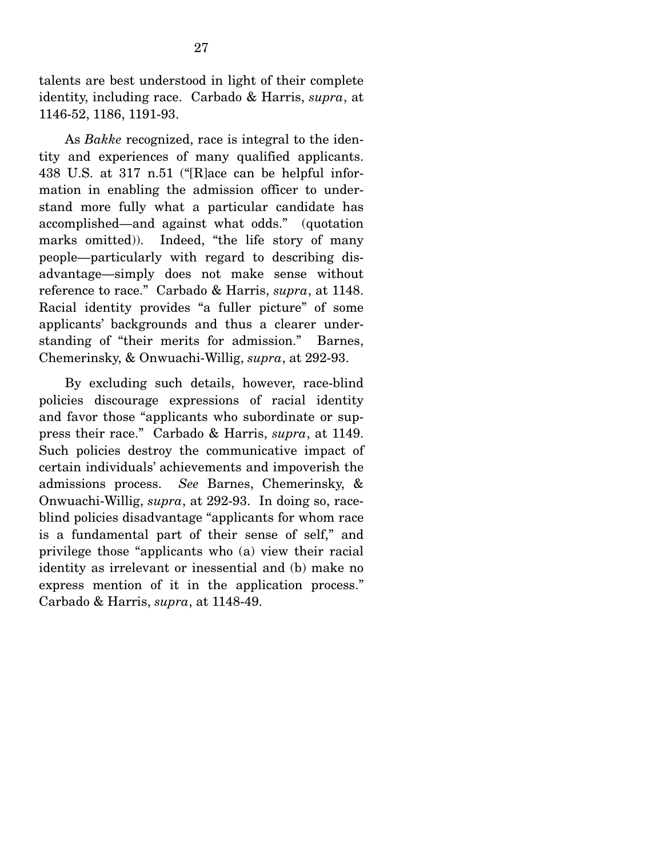talents are best understood in light of their complete identity, including race. Carbado & Harris, *supra*, at 1146-52, 1186, 1191-93.

 As *Bakke* recognized, race is integral to the identity and experiences of many qualified applicants. 438 U.S. at 317 n.51 ("[R]ace can be helpful information in enabling the admission officer to understand more fully what a particular candidate has accomplished—and against what odds." (quotation marks omitted)). Indeed, "the life story of many people—particularly with regard to describing disadvantage—simply does not make sense without reference to race." Carbado & Harris, *supra*, at 1148. Racial identity provides "a fuller picture" of some applicants' backgrounds and thus a clearer understanding of "their merits for admission." Barnes, Chemerinsky, & Onwuachi-Willig, *supra*, at 292-93.

 By excluding such details, however, race-blind policies discourage expressions of racial identity and favor those "applicants who subordinate or suppress their race." Carbado & Harris, *supra*, at 1149. Such policies destroy the communicative impact of certain individuals' achievements and impoverish the admissions process. *See* Barnes, Chemerinsky, & Onwuachi-Willig, *supra*, at 292-93. In doing so, raceblind policies disadvantage "applicants for whom race is a fundamental part of their sense of self," and privilege those "applicants who (a) view their racial identity as irrelevant or inessential and (b) make no express mention of it in the application process." Carbado & Harris, *supra*, at 1148-49.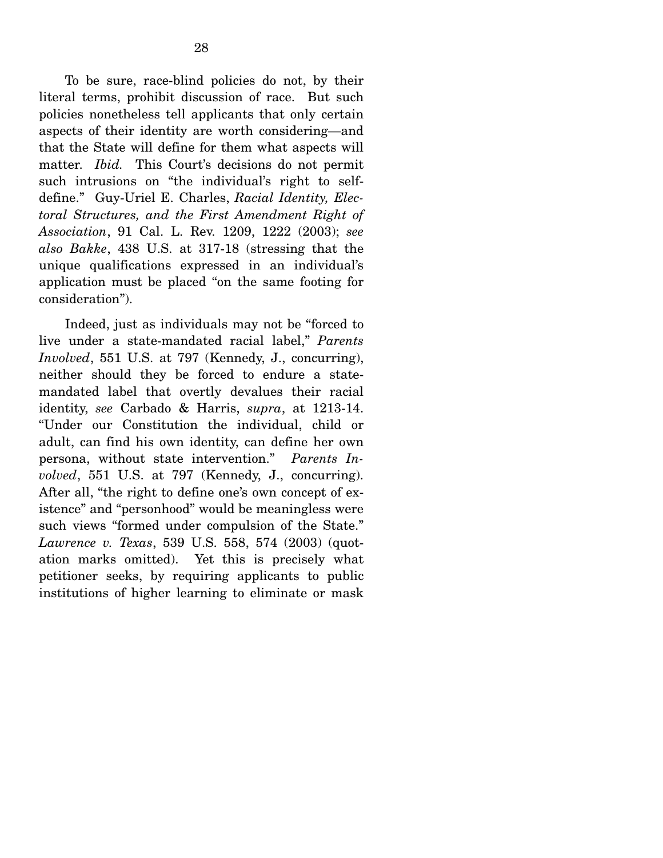To be sure, race-blind policies do not, by their literal terms, prohibit discussion of race. But such policies nonetheless tell applicants that only certain aspects of their identity are worth considering—and that the State will define for them what aspects will matter. *Ibid.* This Court's decisions do not permit such intrusions on "the individual's right to selfdefine." Guy-Uriel E. Charles, *Racial Identity, Electoral Structures, and the First Amendment Right of Association*, 91 Cal. L. Rev. 1209, 1222 (2003); *see also Bakke*, 438 U.S. at 317-18 (stressing that the unique qualifications expressed in an individual's application must be placed "on the same footing for consideration").

 Indeed, just as individuals may not be "forced to live under a state-mandated racial label," *Parents Involved*, 551 U.S. at 797 (Kennedy, J., concurring), neither should they be forced to endure a statemandated label that overtly devalues their racial identity, *see* Carbado & Harris, *supra*, at 1213-14. "Under our Constitution the individual, child or adult, can find his own identity, can define her own persona, without state intervention." *Parents Involved*, 551 U.S. at 797 (Kennedy, J., concurring). After all, "the right to define one's own concept of existence" and "personhood" would be meaningless were such views "formed under compulsion of the State." *Lawrence v. Texas*, 539 U.S. 558, 574 (2003) (quotation marks omitted). Yet this is precisely what petitioner seeks, by requiring applicants to public institutions of higher learning to eliminate or mask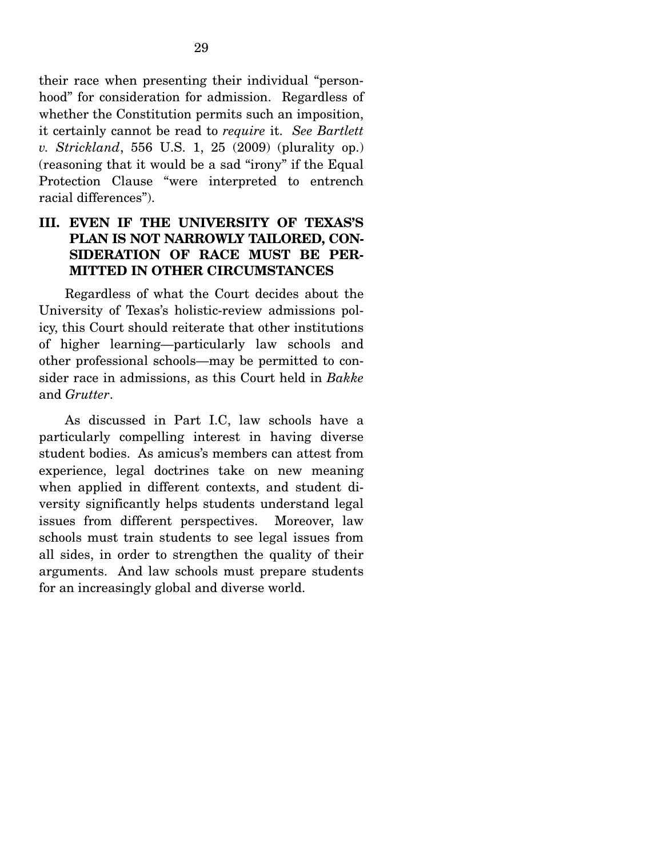their race when presenting their individual "personhood" for consideration for admission. Regardless of whether the Constitution permits such an imposition, it certainly cannot be read to *require* it. *See Bartlett v. Strickland*, 556 U.S. 1, 25 (2009) (plurality op.) (reasoning that it would be a sad "irony" if the Equal Protection Clause "were interpreted to entrench racial differences").

## **III. EVEN IF THE UNIVERSITY OF TEXAS'S PLAN IS NOT NARROWLY TAILORED, CON-SIDERATION OF RACE MUST BE PER-MITTED IN OTHER CIRCUMSTANCES**

 Regardless of what the Court decides about the University of Texas's holistic-review admissions policy, this Court should reiterate that other institutions of higher learning—particularly law schools and other professional schools—may be permitted to consider race in admissions, as this Court held in *Bakke* and *Grutter*.

 As discussed in Part I.C, law schools have a particularly compelling interest in having diverse student bodies. As amicus's members can attest from experience, legal doctrines take on new meaning when applied in different contexts, and student diversity significantly helps students understand legal issues from different perspectives. Moreover, law schools must train students to see legal issues from all sides, in order to strengthen the quality of their arguments. And law schools must prepare students for an increasingly global and diverse world.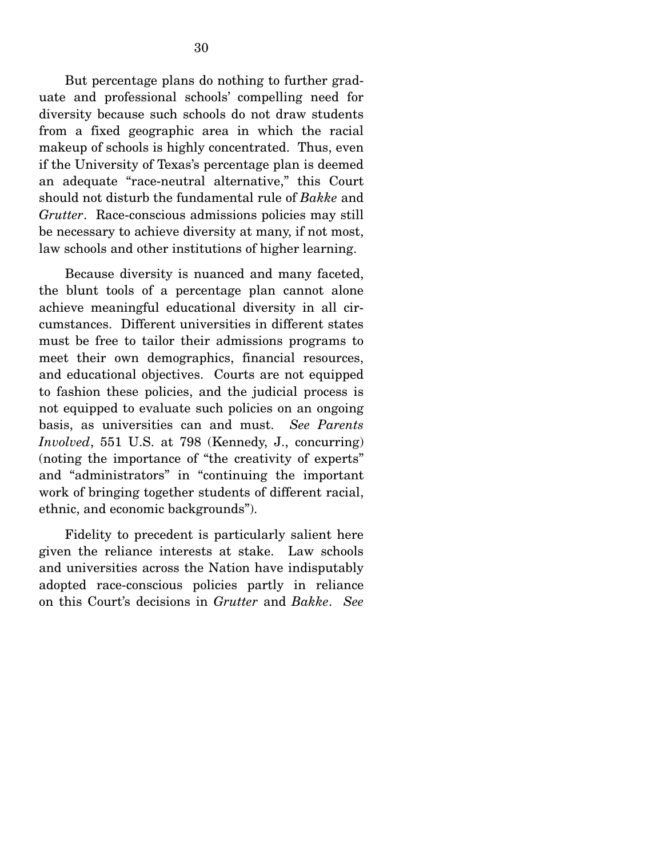But percentage plans do nothing to further graduate and professional schools' compelling need for diversity because such schools do not draw students from a fixed geographic area in which the racial makeup of schools is highly concentrated. Thus, even if the University of Texas's percentage plan is deemed an adequate "race-neutral alternative," this Court should not disturb the fundamental rule of *Bakke* and *Grutter*. Race-conscious admissions policies may still be necessary to achieve diversity at many, if not most, law schools and other institutions of higher learning.

 Because diversity is nuanced and many faceted, the blunt tools of a percentage plan cannot alone achieve meaningful educational diversity in all circumstances. Different universities in different states must be free to tailor their admissions programs to meet their own demographics, financial resources, and educational objectives. Courts are not equipped to fashion these policies, and the judicial process is not equipped to evaluate such policies on an ongoing basis, as universities can and must. *See Parents Involved*, 551 U.S. at 798 (Kennedy, J., concurring) (noting the importance of "the creativity of experts" and "administrators" in "continuing the important work of bringing together students of different racial, ethnic, and economic backgrounds").

 Fidelity to precedent is particularly salient here given the reliance interests at stake. Law schools and universities across the Nation have indisputably adopted race-conscious policies partly in reliance on this Court's decisions in *Grutter* and *Bakke*. *See*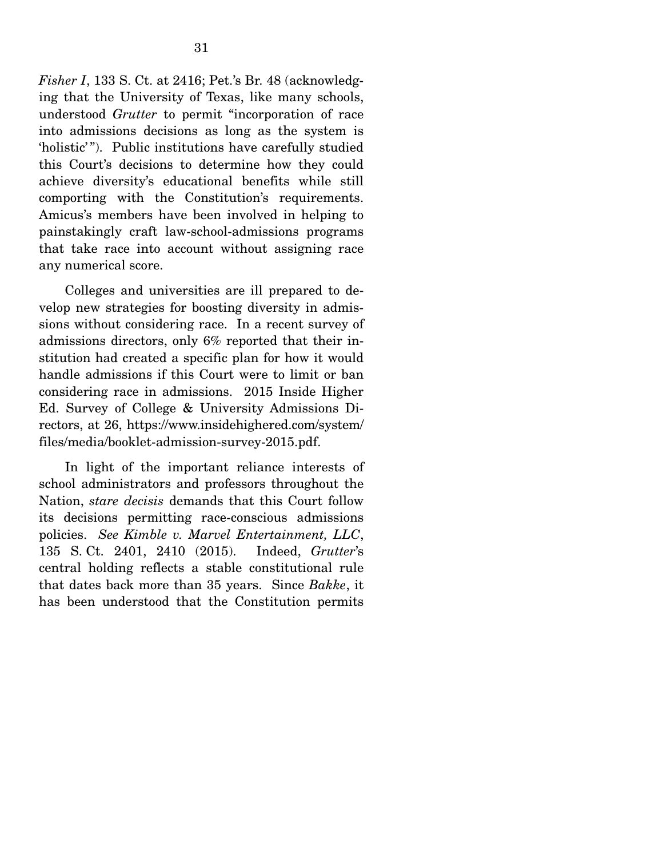*Fisher I*, 133 S. Ct. at 2416; Pet.'s Br. 48 (acknowledging that the University of Texas, like many schools, understood *Grutter* to permit "incorporation of race into admissions decisions as long as the system is 'holistic' "). Public institutions have carefully studied this Court's decisions to determine how they could achieve diversity's educational benefits while still comporting with the Constitution's requirements. Amicus's members have been involved in helping to painstakingly craft law-school-admissions programs that take race into account without assigning race any numerical score.

 Colleges and universities are ill prepared to develop new strategies for boosting diversity in admissions without considering race. In a recent survey of admissions directors, only 6% reported that their institution had created a specific plan for how it would handle admissions if this Court were to limit or ban considering race in admissions. 2015 Inside Higher Ed. Survey of College & University Admissions Directors, at 26, https://www.insidehighered.com/system/ files/media/booklet-admission-survey-2015.pdf.

 In light of the important reliance interests of school administrators and professors throughout the Nation, *stare decisis* demands that this Court follow its decisions permitting race-conscious admissions policies. *See Kimble v. Marvel Entertainment, LLC*, 135 S. Ct. 2401, 2410 (2015). Indeed, *Grutter*'s central holding reflects a stable constitutional rule that dates back more than 35 years. Since *Bakke*, it has been understood that the Constitution permits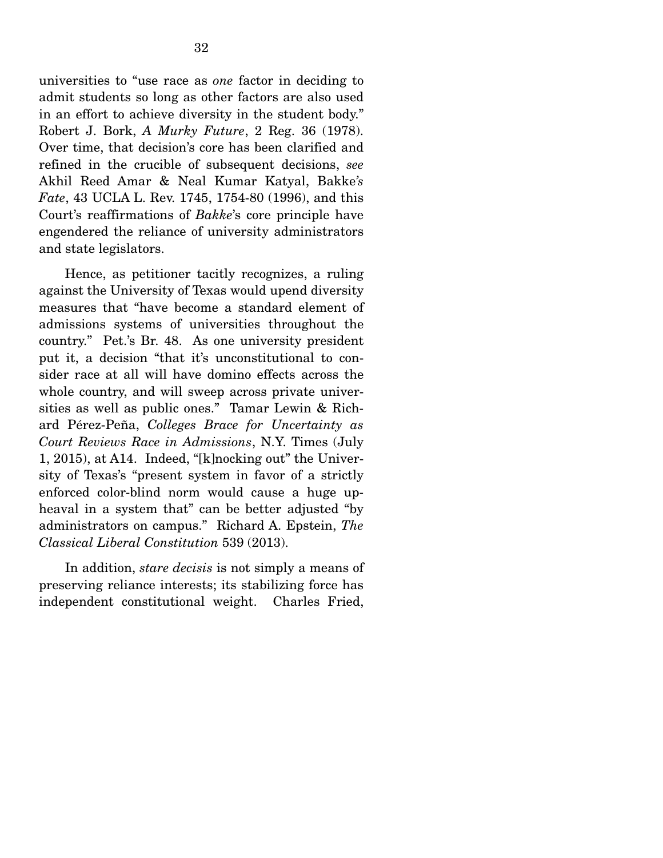universities to "use race as *one* factor in deciding to admit students so long as other factors are also used in an effort to achieve diversity in the student body." Robert J. Bork, *A Murky Future*, 2 Reg. 36 (1978). Over time, that decision's core has been clarified and refined in the crucible of subsequent decisions, *see*  Akhil Reed Amar & Neal Kumar Katyal, Bakke*'s Fate*, 43 UCLA L. Rev. 1745, 1754-80 (1996), and this Court's reaffirmations of *Bakke*'s core principle have engendered the reliance of university administrators and state legislators.

 Hence, as petitioner tacitly recognizes, a ruling against the University of Texas would upend diversity measures that "have become a standard element of admissions systems of universities throughout the country." Pet.'s Br. 48. As one university president put it, a decision "that it's unconstitutional to consider race at all will have domino effects across the whole country, and will sweep across private universities as well as public ones." Tamar Lewin & Richard Pérez-Peña, *Colleges Brace for Uncertainty as Court Reviews Race in Admissions*, N.Y. Times (July 1, 2015), at A14. Indeed, "[k]nocking out" the University of Texas's "present system in favor of a strictly enforced color-blind norm would cause a huge upheaval in a system that" can be better adjusted "by administrators on campus." Richard A. Epstein, *The Classical Liberal Constitution* 539 (2013).

 In addition, *stare decisis* is not simply a means of preserving reliance interests; its stabilizing force has independent constitutional weight. Charles Fried,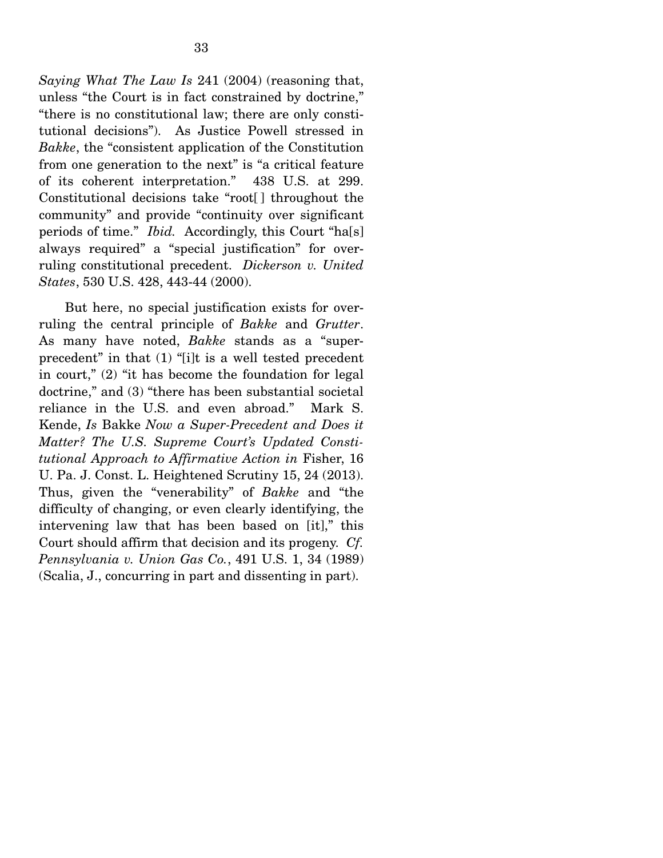*Saying What The Law Is* 241 (2004) (reasoning that, unless "the Court is in fact constrained by doctrine," "there is no constitutional law; there are only constitutional decisions"). As Justice Powell stressed in *Bakke*, the "consistent application of the Constitution from one generation to the next" is "a critical feature of its coherent interpretation." 438 U.S. at 299. Constitutional decisions take "root[ ] throughout the community" and provide "continuity over significant periods of time." *Ibid.* Accordingly, this Court "ha[s] always required" a "special justification" for overruling constitutional precedent. *Dickerson v. United States*, 530 U.S. 428, 443-44 (2000).

 But here, no special justification exists for overruling the central principle of *Bakke* and *Grutter*. As many have noted, *Bakke* stands as a "superprecedent" in that (1) "[i]t is a well tested precedent in court," (2) "it has become the foundation for legal doctrine," and (3) "there has been substantial societal reliance in the U.S. and even abroad." Mark S. Kende, *Is* Bakke *Now a Super-Precedent and Does it Matter? The U.S. Supreme Court's Updated Constitutional Approach to Affirmative Action in* Fisher, 16 U. Pa. J. Const. L. Heightened Scrutiny 15, 24 (2013). Thus, given the "venerability" of *Bakke* and "the difficulty of changing, or even clearly identifying, the intervening law that has been based on [it]," this Court should affirm that decision and its progeny. *Cf. Pennsylvania v. Union Gas Co.*, 491 U.S. 1, 34 (1989) (Scalia, J., concurring in part and dissenting in part).